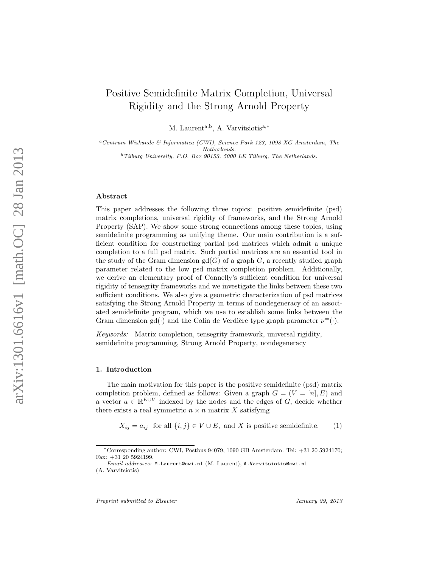# Positive Semidefinite Matrix Completion, Universal Rigidity and the Strong Arnold Property

M. Laurent<sup>a,b</sup>, A. Varvitsiotis<sup>a,\*</sup>

 ${}^a$ Centrum Wiskunde & Information (CWI), Science Park 123, 1098 XG Amsterdam, TheNetherlands.  $^{b}$ Tilburg University, P.O. Box 90153, 5000 LE Tilburg, The Netherlands.

#### Abstract

This paper addresses the following three topics: positive semidefinite (psd) matrix completions, universal rigidity of frameworks, and the Strong Arnold Property (SAP). We show some strong connections among these topics, using semidefinite programming as unifying theme. Our main contribution is a sufficient condition for constructing partial psd matrices which admit a unique completion to a full psd matrix. Such partial matrices are an essential tool in the study of the Gram dimension  $gd(G)$  of a graph G, a recently studied graph parameter related to the low psd matrix completion problem. Additionally, we derive an elementary proof of Connelly's sufficient condition for universal rigidity of tensegrity frameworks and we investigate the links between these two sufficient conditions. We also give a geometric characterization of psd matrices satisfying the Strong Arnold Property in terms of nondegeneracy of an associated semidefinite program, which we use to establish some links between the Gram dimension gd(·) and the Colin de Verdière type graph parameter  $\nu^=(\cdot)$ .

Keywords: Matrix completion, tensegrity framework, universal rigidity, semidefinite programming, Strong Arnold Property, nondegeneracy

#### 1. Introduction

The main motivation for this paper is the positive semidefinite (psd) matrix completion problem, defined as follows: Given a graph  $G = (V = [n], E)$  and a vector  $a \in \mathbb{R}^{E \cup V}$  indexed by the nodes and the edges of G, decide whether there exists a real symmetric  $n \times n$  matrix X satisfying

<span id="page-0-0"></span> $X_{ij} = a_{ij}$  for all  $\{i, j\} \in V \cup E$ , and X is positive semidefinite. (1)

<sup>∗</sup>Corresponding author: CWI, Postbus 94079, 1090 GB Amsterdam. Tel: +31 20 5924170; Fax: +31 20 5924199.

Email addresses: M.Laurent@cwi.nl (M. Laurent), A.Varvitsiotis@cwi.nl (A. Varvitsiotis)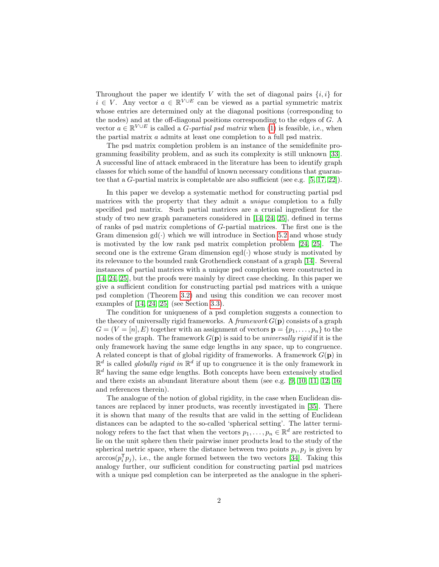Throughout the paper we identify V with the set of diagonal pairs  $\{i, i\}$  for  $i \in V$ . Any vector  $a \in \mathbb{R}^{V \cup E}$  can be viewed as a partial symmetric matrix whose entries are determined only at the diagonal positions (corresponding to the nodes) and at the off-diagonal positions corresponding to the edges of G. A vector  $a \in \mathbb{R}^{V \cup E}$  is called a *G-partial psd matrix* when [\(1\)](#page-0-0) is feasible, i.e., when the partial matrix a admits at least one completion to a full psd matrix.

The psd matrix completion problem is an instance of the semidefinite programming feasibility problem, and as such its complexity is still unknown [\[33\]](#page-27-0). A successful line of attack embraced in the literature has been to identify graph classes for which some of the handful of known necessary conditions that guarantee that a G-partial matrix is completable are also sufficient (see e.g. [\[5,](#page-25-0) [17,](#page-26-0) [22\]](#page-26-1)).

In this paper we develop a systematic method for constructing partial psd matrices with the property that they admit a unique completion to a fully specified psd matrix. Such partial matrices are a crucial ingredient for the study of two new graph parameters considered in [\[14,](#page-25-1) [24,](#page-26-2) [25\]](#page-26-3), defined in terms of ranks of psd matrix completions of G-partial matrices. The first one is the Gram dimension  $gd(.)$  which we will introduce in Section [5.2](#page-23-0) and whose study is motivated by the low rank psd matrix completion problem [\[24,](#page-26-2) [25\]](#page-26-3). The second one is the extreme Gram dimension  $\text{egd}(\cdot)$  whose study is motivated by its relevance to the bounded rank Grothendieck constant of a graph [\[14\]](#page-25-1). Several instances of partial matrices with a unique psd completion were constructed in [\[14,](#page-25-1) [24,](#page-26-2) [25\]](#page-26-3), but the proofs were mainly by direct case checking. In this paper we give a sufficient condition for constructing partial psd matrices with a unique psd completion (Theorem [3.2\)](#page-8-0) and using this condition we can recover most examples of [\[14,](#page-25-1) [24,](#page-26-2) [25\]](#page-26-3) (see Section [3.3\)](#page-9-0).

The condition for uniqueness of a psd completion suggests a connection to the theory of universally rigid frameworks. A *framework*  $G(\mathbf{p})$  consists of a graph  $G = (V = [n], E)$  together with an assignment of vectors  $\mathbf{p} = \{p_1, \ldots, p_n\}$  to the nodes of the graph. The framework  $G(\mathbf{p})$  is said to be *universally rigid* if it is the only framework having the same edge lengths in any space, up to congruence. A related concept is that of global rigidity of frameworks. A framework  $G(\mathbf{p})$  in  $\mathbb{R}^d$  is called *globally rigid in*  $\mathbb{R}^d$  if up to congruence it is the only framework in  $\mathbb{R}^d$  having the same edge lengths. Both concepts have been extensively studied and there exists an abundant literature about them (see e.g.  $[9, 10, 11, 12, 16]$  $[9, 10, 11, 12, 16]$  $[9, 10, 11, 12, 16]$  $[9, 10, 11, 12, 16]$  $[9, 10, 11, 12, 16]$ ) and references therein).

The analogue of the notion of global rigidity, in the case when Euclidean distances are replaced by inner products, was recently investigated in [\[35\]](#page-27-1). There it is shown that many of the results that are valid in the setting of Euclidean distances can be adapted to the so-called 'spherical setting'. The latter terminology refers to the fact that when the vectors  $p_1, \ldots, p_n \in \mathbb{R}^d$  are restricted to lie on the unit sphere then their pairwise inner products lead to the study of the spherical metric space, where the distance between two points  $p_i, p_j$  is given by  $arccos(p_i^{\mathsf{T}} p_j)$ , i.e., the angle formed between the two vectors [\[34\]](#page-27-2). Taking this analogy further, our sufficient condition for constructing partial psd matrices with a unique psd completion can be interpreted as the analogue in the spheri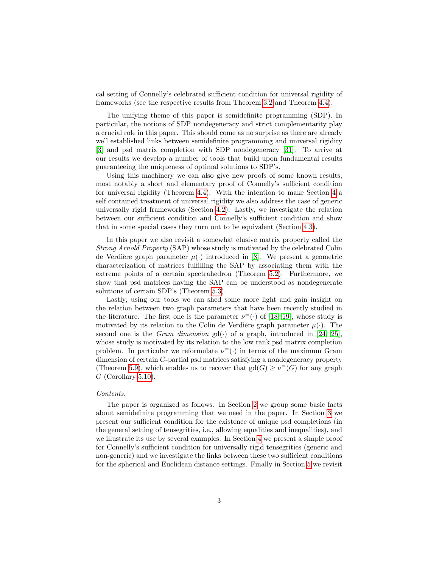cal setting of Connelly's celebrated sufficient condition for universal rigidity of frameworks (see the respective results from Theorem [3.2](#page-8-0) and Theorem [4.4\)](#page-15-0).

The unifying theme of this paper is semidefinite programming (SDP). In particular, the notions of SDP nondegeneracy and strict complementarity play a crucial role in this paper. This should come as no surprise as there are already well established links between semidefinite programming and universal rigidity [\[3\]](#page-25-6) and psd matrix completion with SDP nondegeneracy [\[31\]](#page-27-3). To arrive at our results we develop a number of tools that build upon fundamental results guaranteeing the uniqueness of optimal solutions to SDP's.

Using this machinery we can also give new proofs of some known results, most notably a short and elementary proof of Connelly's sufficient condition for universal rigidity (Theorem [4.4\)](#page-15-0). With the intention to make Section [4](#page-13-0) a self contained treatment of universal rigidity we also address the case of generic universally rigid frameworks (Section [4.2\)](#page-17-0). Lastly, we investigate the relation between our sufficient condition and Connelly's sufficient condition and show that in some special cases they turn out to be equivalent (Section [4.3\)](#page-19-0).

In this paper we also revisit a somewhat elusive matrix property called the Strong Arnold Property (SAP) whose study is motivated by the celebrated Colin de Verdière graph parameter  $\mu(\cdot)$  introduced in [\[8\]](#page-25-7). We present a geometric characterization of matrices fulfilling the SAP by associating them with the extreme points of a certain spectrahedron (Theorem [5.2\)](#page-22-0). Furthermore, we show that psd matrices having the SAP can be understood as nondegenerate solutions of certain SDP's (Theorem [5.3\)](#page-22-1).

Lastly, using our tools we can shed some more light and gain insight on the relation between two graph parameters that have been recently studied in the literature. The first one is the parameter  $\nu$ <sup>=</sup>(·) of [\[18,](#page-26-5) [19\]](#page-26-6), whose study is motivated by its relation to the Colin de Verdiere graph parameter  $\mu(\cdot)$ . The second one is the *Gram dimension*  $gd(.)$  of a graph, introduced in [\[24,](#page-26-2) [25\]](#page-26-3), whose study is motivated by its relation to the low rank psd matrix completion problem. In particular we reformulate  $\nu^=(\cdot)$  in terms of the maximum Gram dimension of certain G-partial psd matrices satisfying a nondegeneracy property (Theorem [5.9\)](#page-24-0), which enables us to recover that  $gd(G) \geq \nu^=(G)$  for any graph  $G$  (Corollary [5.10\)](#page-24-1).

#### Contents.

The paper is organized as follows. In Section [2](#page-3-0) we group some basic facts about semidefinite programming that we need in the paper. In Section [3](#page-7-0) we present our sufficient condition for the existence of unique psd completions (in the general setting of tensegrities, i.e., allowing equalities and inequalities), and we illustrate its use by several examples. In Section [4](#page-13-0) we present a simple proof for Connelly's sufficient condition for universally rigid tensegrities (generic and non-generic) and we investigate the links between these two sufficient conditions for the spherical and Euclidean distance settings. Finally in Section [5](#page-21-0) we revisit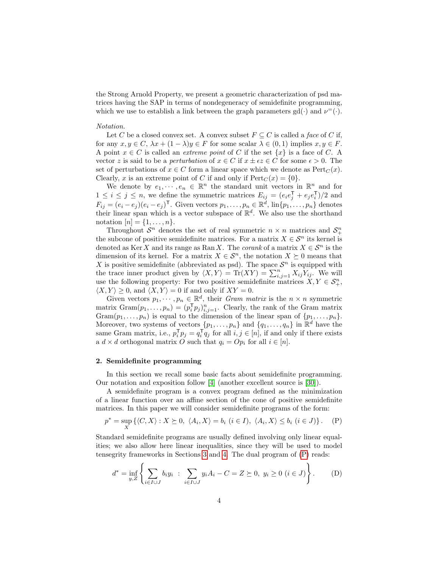the Strong Arnold Property, we present a geometric characterization of psd matrices having the SAP in terms of nondegeneracy of semidefinite programming, which we use to establish a link between the graph parameters  $gd(\cdot)$  and  $\nu^=(\cdot)$ .

# Notation.

Let C be a closed convex set. A convex subset  $F \subseteq C$  is called a face of C if, for any  $x, y \in C$ ,  $\lambda x + (1 - \lambda)y \in F$  for some scalar  $\lambda \in (0, 1)$  implies  $x, y \in F$ . A point  $x \in C$  is called an *extreme point* of C if the set  $\{x\}$  is a face of C. A vector z is said to be a *perturbation* of  $x \in C$  if  $x \pm \epsilon z \in C$  for some  $\epsilon > 0$ . The set of perturbations of  $x \in C$  form a linear space which we denote as  $\text{Pert}_C(x)$ . Clearly, x is an extreme point of C if and only if  $Pert_C(x) = \{0\}.$ 

We denote by  $e_1, \dots, e_n \in \mathbb{R}^n$  the standard unit vectors in  $\mathbb{R}^n$  and for  $1 \leq i \leq j \leq n$ , we define the symmetric matrices  $E_{ij} = (e_i e_j^{\mathsf{T}} + e_j e_i^{\mathsf{T}})/2$  and  $F_{ij} = (e_i - e_j)(e_i - e_j)^T$ . Given vectors  $p_1, \ldots, p_n \in \mathbb{R}^d$ ,  $\lim\{p_1, \ldots, p_n\}$  denotes their linear span which is a vector subspace of  $\mathbb{R}^d$ . We also use the shorthand notation  $[n] = \{1, ..., n\}.$ 

Throughout  $S^n$  denotes the set of real symmetric  $n \times n$  matrices and  $S^n_+$ the subcone of positive semidefinite matrices. For a matrix  $X \in \mathcal{S}^n$  its kernel is denoted as Ker X and its range as Ran X. The *corank* of a matrix  $X \in \mathcal{S}^n$  is the dimension of its kernel. For a matrix  $X \in \mathcal{S}^n$ , the notation  $X \succeq 0$  means that X is positive semidefinite (abbreviated as psd). The space  $S<sup>n</sup>$  is equipped with the trace inner product given by  $\langle X, Y \rangle = \text{Tr}(XY) = \sum_{i,j=1}^n X_{ij} Y_{ij}$ . We will use the following property: For two positive semidefinite matrices  $X, Y \in \mathcal{S}_{+}^{n}$ ,  $\langle X, Y \rangle \geq 0$ , and  $\langle X, Y \rangle = 0$  if and only if  $XY = 0$ .

Given vectors  $p_1, \dots, p_n \in \mathbb{R}^d$ , their *Gram matrix* is the  $n \times n$  symmetric matrix  $\text{Gram}(p_1,\ldots,p_n)=(p_i^{\mathsf{T}}p_j)_{i,j=1}^n$ . Clearly, the rank of the Gram matrix  $Gram(p_1, \ldots, p_n)$  is equal to the dimension of the linear span of  $\{p_1, \ldots, p_n\}$ . Moreover, two systems of vectors  $\{p_1, \ldots, p_n\}$  and  $\{q_1, \ldots, q_n\}$  in  $\mathbb{R}^d$  have the same Gram matrix, i.e.,  $p_i^T p_j = q_i^T q_j$  for all  $i, j \in [n]$ , if and only if there exists a  $d \times d$  orthogonal matrix O such that  $q_i = Op_i$  for all  $i \in [n]$ .

## <span id="page-3-0"></span>2. Semidefinite programming

In this section we recall some basic facts about semidefinite programming. Our notation and exposition follow [\[4\]](#page-25-8) (another excellent source is [\[30\]](#page-27-4)).

A semidefinite program is a convex program defined as the minimization of a linear function over an affine section of the cone of positive semidefinite matrices. In this paper we will consider semidefinite programs of the form:

$$
p^* = \sup_X \left\{ \langle C, X \rangle : X \succeq 0, \ \langle A_i, X \rangle = b_i \ (i \in I), \ \langle A_i, X \rangle \le b_i \ (i \in J) \right\}. \tag{P}
$$

Standard semidefinite programs are usually defined involving only linear equalities; we also allow here linear inequalities, since they will be used to model tensegrity frameworks in Sections [3](#page-7-0) and [4.](#page-13-0) The dual program of [\(P\)](#page-3-1) reads:

<span id="page-3-2"></span><span id="page-3-1"></span>
$$
d^* = \inf_{y,Z} \left\{ \sum_{i \in I \cup J} b_i y_i \; : \; \sum_{i \in I \cup J} y_i A_i - C = Z \succeq 0, \; y_i \ge 0 \; (i \in J) \right\}.
$$
 (D)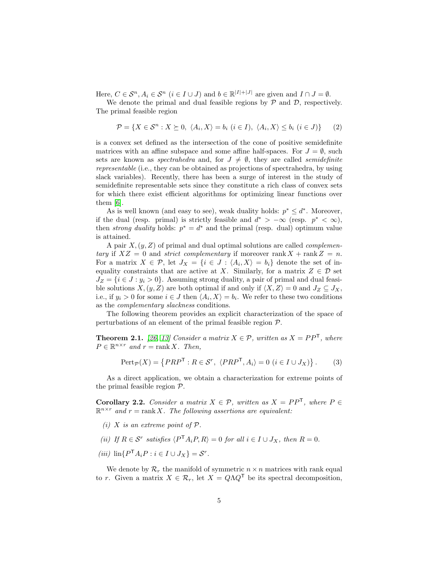Here,  $C \in \mathcal{S}^n$ ,  $A_i \in \mathcal{S}^n$   $(i \in I \cup J)$  and  $b \in \mathbb{R}^{|I|+|J|}$  are given and  $I \cap J = \emptyset$ .

We denote the primal and dual feasible regions by  $P$  and  $D$ , respectively. The primal feasible region

$$
\mathcal{P} = \{ X \in \mathcal{S}^n : X \succeq 0, \ \langle A_i, X \rangle = b_i \ (i \in I), \ \langle A_i, X \rangle \le b_i \ (i \in J) \} \tag{2}
$$

is a convex set defined as the intersection of the cone of positive semidefinite matrices with an affine subspace and some affine half-spaces. For  $J = \emptyset$ , such sets are known as spectrahedra and, for  $J \neq \emptyset$ , they are called semidefinite representable (i.e., they can be obtained as projections of spectrahedra, by using slack variables). Recently, there has been a surge of interest in the study of semidefinite representable sets since they constitute a rich class of convex sets for which there exist efficient algorithms for optimizing linear functions over them [\[6\]](#page-25-9).

As is well known (and easy to see), weak duality holds:  $p^* \leq d^*$ . Moreover, if the dual (resp. primal) is strictly feasible and  $d^*$  >  $-\infty$  (resp.  $p^*$  <  $\infty$ ), then *strong duality* holds:  $p^* = d^*$  and the primal (resp. dual) optimum value is attained.

A pair  $X, (y, Z)$  of primal and dual optimal solutions are called *complemen*tary if  $XZ = 0$  and strict complementary if moreover rank  $X + \text{rank } Z = n$ . For a matrix  $X \in \mathcal{P}$ , let  $J_X = \{i \in J : \langle A_i, X \rangle = b_i\}$  denote the set of inequality constraints that are active at X. Similarly, for a matrix  $Z \in \mathcal{D}$  set  $J_Z = \{i \in J : y_i > 0\}$ . Assuming strong duality, a pair of primal and dual feasible solutions  $X,(y, Z)$  are both optimal if and only if  $\langle X, Z \rangle = 0$  and  $J_Z \subseteq J_X$ , i.e., if  $y_i > 0$  for some  $i \in J$  then  $\langle A_i, X \rangle = b_i$ . We refer to these two conditions as the complementary slackness conditions.

The following theorem provides an explicit characterization of the space of perturbations of an element of the primal feasible region  $P$ .

**Theorem 2.1.** [\[26,](#page-26-7) [13\]](#page-25-10) Consider a matrix  $X \in \mathcal{P}$ , written as  $X = PP^{\mathsf{T}}$ , where  $P \in \mathbb{R}^{n \times r}$  and  $r = \text{rank } X$ . Then,

$$
\text{Pert}_{\mathcal{P}}(X) = \{PRP^{\mathsf{T}} : R \in \mathcal{S}^r, \ \langle PRP^{\mathsf{T}}, A_i \rangle = 0 \ (i \in I \cup J_X) \}.
$$
 (3)

As a direct application, we obtain a characterization for extreme points of the primal feasible region P.

<span id="page-4-0"></span>**Corollary 2.2.** Consider a matrix  $X \in \mathcal{P}$ , written as  $X = PP^{\mathsf{T}}$ , where  $P \in$  $\mathbb{R}^{n \times r}$  and  $r = \text{rank } X$ . The following assertions are equivalent:

- (i) X is an extreme point of  $\mathcal{P}_1$ .
- (ii) If  $R \in \mathcal{S}^r$  satisfies  $\langle P^{\mathsf{T}} A_i P, R \rangle = 0$  for all  $i \in I \cup J_X$ , then  $R = 0$ .
- (iii)  $\text{lin}\{P^{\mathsf{T}}A_iP : i \in I \cup J_X\} = \mathcal{S}^r.$

We denote by  $\mathcal{R}_r$  the manifold of symmetric  $n \times n$  matrices with rank equal to r. Given a matrix  $X \in \mathcal{R}_r$ , let  $X = Q\Lambda Q^{\mathsf{T}}$  be its spectral decomposition,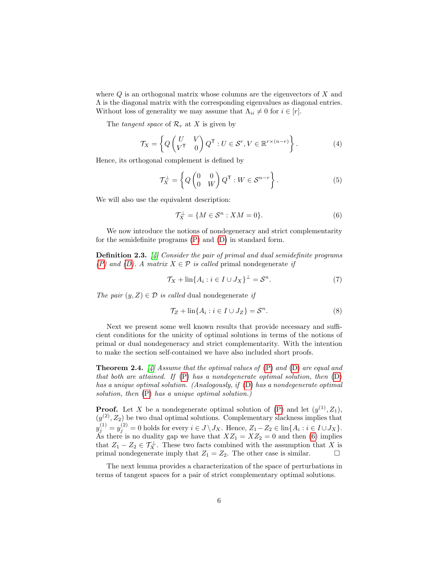where  $Q$  is an orthogonal matrix whose columns are the eigenvectors of  $X$  and  $\Lambda$  is the diagonal matrix with the corresponding eigenvalues as diagonal entries. Without loss of generality we may assume that  $\Lambda_{ii} \neq 0$  for  $i \in [r]$ .

The tangent space of  $\mathcal{R}_r$  at X is given by

$$
\mathcal{T}_X = \left\{ Q \begin{pmatrix} U & V \\ V^{\mathsf{T}} & 0 \end{pmatrix} Q^{\mathsf{T}} : U \in \mathcal{S}^r, V \in \mathbb{R}^{r \times (n-r)} \right\}.
$$
 (4)

Hence, its orthogonal complement is defined by

<span id="page-5-1"></span>
$$
\mathcal{T}_X^{\perp} = \left\{ Q \begin{pmatrix} 0 & 0 \\ 0 & W \end{pmatrix} Q^{\mathsf{T}} : W \in \mathcal{S}^{n-r} \right\}.
$$
 (5)

We will also use the equivalent description:

<span id="page-5-0"></span>
$$
\mathcal{T}_X^{\perp} = \{ M \in \mathcal{S}^n : XM = 0 \}.
$$
 (6)

We now introduce the notions of nondegeneracy and strict complementarity for the semidefinite programs [\(P\)](#page-3-1) and [\(D\)](#page-3-2) in standard form.

Definition 2.3. [\[4\]](#page-25-8) Consider the pair of primal and dual semidefinite programs [\(P\)](#page-3-1) and [\(D\)](#page-3-2). A matrix  $X \in \mathcal{P}$  is called primal nondegenerate if

<span id="page-5-5"></span>
$$
\mathcal{T}_X + \ln\{A_i : i \in I \cup J_X\}^\perp = \mathcal{S}^n. \tag{7}
$$

The pair  $(y, Z) \in \mathcal{D}$  is called dual nondegenerate if

<span id="page-5-3"></span>
$$
\mathcal{T}_Z + \ln\{A_i : i \in I \cup J_Z\} = \mathcal{S}^n. \tag{8}
$$

Next we present some well known results that provide necessary and sufficient conditions for the unicity of optimal solutions in terms of the notions of primal or dual nondegeneracy and strict complementarity. With the intention to make the section self-contained we have also included short proofs.

<span id="page-5-2"></span>**Theorem 2.4.** [\[4\]](#page-25-8) Assume that the optimal values of  $(P)$  and  $(D)$  are equal and that both are attained. If  $(P)$  has a nondegenerate optimal solution, then  $(D)$ has a unique optimal solution. (Analogously, if [\(D\)](#page-3-2) has a nondegenerate optimal solution, then  $(P)$  has a unique optimal solution.)

**Proof.** Let X be a nondegenerate optimal solution of [\(P\)](#page-3-1) and let  $(y^{(1)}, Z_1)$ ,  $(y^{(2)}, Z_2)$  be two dual optimal solutions. Complementary slackness implies that  $y_j^{(1)} = y_j^{(2)} = 0$  holds for every  $i \in J \setminus J_X$ . Hence,  $Z_1 - Z_2 \in \text{lin}\{A_i : i \in I \cup J_X\}$ . As there is no duality gap we have that  $XZ_1 = XZ_2 = 0$  and then [\(6\)](#page-5-0) implies that  $Z_1 - Z_2 \in \mathcal{T}_X^{\perp}$ . These two facts combined with the assumption that X is primal nondegenerate imply that  $Z_1 = Z_2$ . The other case is similar.  $\Box$ 

<span id="page-5-4"></span>The next lemma provides a characterization of the space of perturbations in terms of tangent spaces for a pair of strict complementary optimal solutions.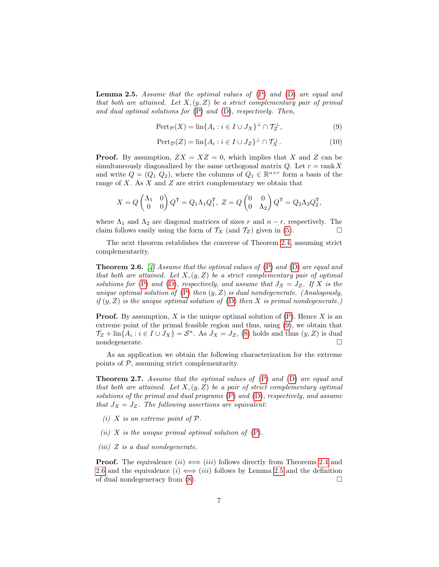**Lemma 2.5.** Assume that the optimal values of  $(P)$  and  $(D)$  are equal and that both are attained. Let  $X, (y, Z)$  be a strict complementary pair of primal and dual optimal solutions for  $(P)$  and  $(D)$ , respectively. Then,

<span id="page-6-0"></span>
$$
\text{Pert}_{\mathcal{P}}(X) = \text{lin}\{A_i : i \in I \cup J_X\}^{\perp} \cap \mathcal{T}_Z^{\perp},\tag{9}
$$

$$
\text{Pert}_{\mathcal{D}}(Z) = \text{lin}\{A_i : i \in I \cup J_Z\}^{\perp} \cap \mathcal{T}_X^{\perp}.
$$
 (10)

**Proof.** By assumption,  $ZX = XZ = 0$ , which implies that X and Z can be simultaneously diagonalized by the same orthogonal matrix  $Q$ . Let  $r = \text{rank } X$ and write  $Q = (Q_1 \ Q_2)$ , where the columns of  $Q_1 \in \mathbb{R}^{n \times r}$  form a basis of the range of  $X$ . As  $X$  and  $Z$  are strict complementary we obtain that

$$
X = Q \begin{pmatrix} \Lambda_1 & 0 \\ 0 & 0 \end{pmatrix} Q^{\mathsf{T}} = Q_1 \Lambda_1 Q_1^{\mathsf{T}}, Z = Q \begin{pmatrix} 0 & 0 \\ 0 & \Lambda_2 \end{pmatrix} Q^{\mathsf{T}} = Q_2 \Lambda_2 Q_2^{\mathsf{T}},
$$

where  $\Lambda_1$  and  $\Lambda_2$  are diagonal matrices of sizes r and  $n-r$ , respectively. The claim follows easily using the form of  $\mathcal{T}_X$  (and  $\mathcal{T}_Z$ ) given in [\(5\)](#page-5-1).

The next theorem establishes the converse of Theorem [2.4,](#page-5-2) assuming strict complementarity.

<span id="page-6-1"></span>**Theorem 2.6.** [\[4\]](#page-25-8) Assume that the optimal values of  $(P)$  and  $(D)$  are equal and that both are attained. Let  $X,(y, Z)$  be a strict complementary pair of optimal solutions for [\(P\)](#page-3-1) and [\(D\)](#page-3-2), respectively, and assume that  $J_X = J_Z$ . If X is the unique optimal solution of  $(P)$  then  $(y, Z)$  is dual nondegenerate. (Analogously, if  $(y, Z)$  is the unique optimal solution of  $(D)$  then X is primal nondegenerate.)

**Proof.** By assumption, X is the unique optimal solution of  $(P)$ . Hence X is an extreme point of the primal feasible region and thus, using [\(9\)](#page-6-0), we obtain that  $\mathcal{T}_Z + \text{lin}\{A_i : i \in I \cup J_X\} = \mathcal{S}^n$ . As  $J_X = J_Z$ , [\(8\)](#page-5-3) holds and thus  $(y, Z)$  is dual nondegenerate.

As an application we obtain the following characterization for the extreme points of  $P$ , assuming strict complementarity.

<span id="page-6-2"></span>**Theorem 2.7.** Assume that the optimal values of  $(P)$  and  $(D)$  are equal and that both are attained. Let  $X,(y,Z)$  be a pair of strict complementary optimal solutions of the primal and dual programs [\(P\)](#page-3-1) and [\(D\)](#page-3-2), respectively, and assume that  $J_X = J_Z$ . The following assertions are equivalent:

- (i) X is an extreme point of  $\mathcal{P}$ .
- (ii) X is the unique primal optimal solution of  $(P)$ .
- $(iii)$  Z is a dual nondegenerate.

**Proof.** The equivalence  $(ii) \iff (iii)$  follows directly from Theorems [2.4](#page-5-2) and [2.6](#page-6-1) and the equivalence  $(i) \iff (iii)$  follows by Lemma [2.5](#page-5-4) and the definition of dual nondegeneracy from  $(8)$ .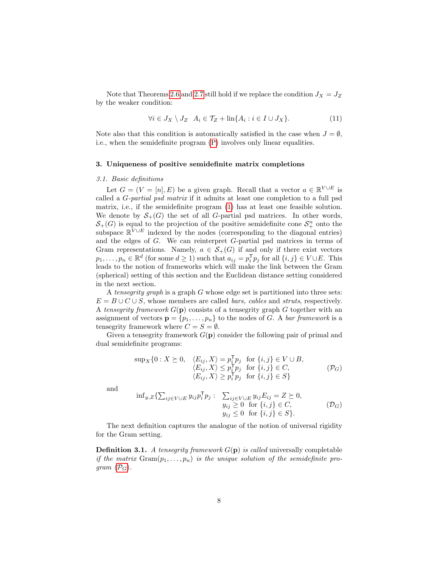Note that Theorems [2.6](#page-6-1) and [2.7](#page-6-2) still hold if we replace the condition  $J_X = J_Z$ by the weaker condition:

$$
\forall i \in J_X \setminus J_Z \quad A_i \in \mathcal{T}_Z + \text{lin}\{A_i : i \in I \cup J_X\}.
$$
 (11)

Note also that this condition is automatically satisfied in the case when  $J = \emptyset$ , i.e., when the semidefinite program [\(P\)](#page-3-1) involves only linear equalities.

## <span id="page-7-0"></span>3. Uniqueness of positive semidefinite matrix completions

#### 3.1. Basic definitions

Let  $G = (V = [n], E)$  be a given graph. Recall that a vector  $a \in \mathbb{R}^{V \cup E}$  is called a G-partial psd matrix if it admits at least one completion to a full psd matrix, i.e., if the semidefinite program [\(1\)](#page-0-0) has at least one feasible solution. We denote by  $S_{+}(G)$  the set of all G-partial psd matrices. In other words,  $\mathcal{S}_+(G)$  is equal to the projection of the positive semidefinite cone  $\mathcal{S}_+^n$  onto the subspace  $\mathbb{R}^{V \cup E}$  indexed by the nodes (corresponding to the diagonal entries) and the edges of G. We can reinterpret G-partial psd matrices in terms of Gram representations. Namely,  $a \in \mathcal{S}_{+}(G)$  if and only if there exist vectors  $p_1, \ldots, p_n \in \mathbb{R}^d$  (for some  $d \ge 1$ ) such that  $a_{ij} = p_i^{\mathsf{T}} p_j$  for all  $\{i, j\} \in V \cup E$ . This leads to the notion of frameworks which will make the link between the Gram (spherical) setting of this section and the Euclidean distance setting considered in the next section.

A tensegrity graph is a graph  $G$  whose edge set is partitioned into three sets:  $E = B \cup C \cup S$ , whose members are called *bars, cables* and *struts*, respectively. A tensegrity framework  $G(\mathbf{p})$  consists of a tensegrity graph G together with an assignment of vectors  $\mathbf{p} = \{p_1, \ldots, p_n\}$  to the nodes of G. A bar framework is a tensegrity framework where  $C = S = \emptyset$ .

Given a tensegrity framework  $G(\mathbf{p})$  consider the following pair of primal and dual semidefinite programs:

<span id="page-7-3"></span><span id="page-7-1"></span>
$$
\sup_{X} \{0: X \succeq 0, \langle E_{ij}, X \rangle = p_i^{\mathsf{T}} p_j \text{ for } \{i, j\} \in V \cup B, \langle E_{ij}, X \rangle \leq p_i^{\mathsf{T}} p_j \text{ for } \{i, j\} \in C, \langle E_{ij}, X \rangle \geq p_i^{\mathsf{T}} p_j \text{ for } \{i, j\} \in S \}
$$
\n
$$
(P_G)
$$

and

<span id="page-7-2"></span>
$$
\inf_{y,Z} \{ \sum_{ij \in V \cup E} y_{ij} p_i^{\mathsf{T}} p_j : \sum_{ij \in V \cup E} y_{ij} E_{ij} = Z \succeq 0, \n y_{ij} \geq 0 \text{ for } \{i,j\} \in C, \n y_{ij} \leq 0 \text{ for } \{i,j\} \in S \}. \tag{D_G}
$$

The next definition captures the analogue of the notion of universal rigidity for the Gram setting.

**Definition 3.1.** A tensegrity framework  $G(\mathbf{p})$  is called universally completable if the matrix  $Gram(p_1, \ldots, p_n)$  is the unique solution of the semidefinite program  $(\mathcal{P}_G)$  $(\mathcal{P}_G)$  $(\mathcal{P}_G)$ .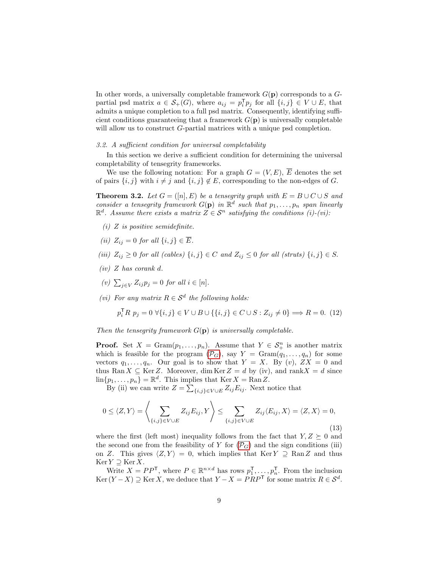In other words, a universally completable framework  $G(\mathbf{p})$  corresponds to a  $G$ partial psd matrix  $a \in S_+(G)$ , where  $a_{ij} = p_i^{\mathsf{T}} p_j$  for all  $\{i, j\} \in V \cup E$ , that admits a unique completion to a full psd matrix. Consequently, identifying sufficient conditions guaranteeing that a framework  $G(\mathbf{p})$  is universally completable will allow us to construct G-partial matrices with a unique psd completion.

# 3.2. A sufficient condition for universal completability

In this section we derive a sufficient condition for determining the universal completability of tensegrity frameworks.

We use the following notation: For a graph  $G = (V, E)$ ,  $\overline{E}$  denotes the set of pairs  $\{i, j\}$  with  $i \neq j$  and  $\{i, j\} \notin E$ , corresponding to the non-edges of G.

<span id="page-8-0"></span>**Theorem 3.2.** Let  $G = ([n], E)$  be a tensegrity graph with  $E = B \cup C \cup S$  and consider a tensegrity framework  $G(\mathbf{p})$  in  $\mathbb{R}^d$  such that  $p_1, \ldots, p_n$  span linearly  $\mathbb{R}^d$ . Assume there exists a matrix  $Z \in \mathcal{S}^n$  satisfying the conditions (i)-(vi):

- $(i)$  Z is positive semidefinite.
- (ii)  $Z_{ij} = 0$  for all  $\{i, j\} \in \overline{E}$ .
- (iii)  $Z_{ij} \geq 0$  for all (cables)  $\{i, j\} \in C$  and  $Z_{ij} \leq 0$  for all (struts)  $\{i, j\} \in S$ .
- $(iv)$  Z has corank d.
- (v)  $\sum_{j \in V} Z_{ij} p_j = 0$  for all  $i \in [n]$ .
- (vi) For any matrix  $R \in \mathcal{S}^d$  the following holds:

$$
p_i^{\mathsf{T}} R \ p_j = 0 \ \forall \{i, j\} \in V \cup B \cup \{\{i, j\} \in C \cup S : Z_{ij} \neq 0\} \Longrightarrow R = 0. \tag{12}
$$

Then the tensegrity framework  $G(\mathbf{p})$  is universally completable.

**Proof.** Set  $X = \text{Gram}(p_1, \ldots, p_n)$ . Assume that  $Y \in \mathcal{S}_{+}^n$  is another matrix which is feasible for the program  $(\mathcal{P}_G)$  $(\mathcal{P}_G)$  $(\mathcal{P}_G)$ , say  $Y = \text{Gram}(q_1, \ldots, q_n)$  for some vectors  $q_1, \ldots, q_n$ . Our goal is to show that  $Y = X$ . By  $(v)$ ,  $ZX = 0$  and thus Ran  $X \subseteq \text{Ker } Z$ . Moreover, dim  $\text{Ker } Z = d$  by (iv), and rank  $X = d$  since  $\lim\{p_1,\ldots,p_n\} = \mathbb{R}^d$ . This implies that  $\text{Ker } X = \text{Ran } Z$ .

By (ii) we can write  $Z = \sum_{\{i,j\} \in V \cup E} Z_{ij} E_{ij}$ . Next notice that

<span id="page-8-1"></span>
$$
0 \le \langle Z, Y \rangle = \left\langle \sum_{\{i,j\} \in V \cup E} Z_{ij} E_{ij}, Y \right\rangle \le \sum_{\{i,j\} \in V \cup E} Z_{ij} \langle E_{ij}, X \rangle = \langle Z, X \rangle = 0,
$$
\n(13)

where the first (left most) inequality follows from the fact that  $Y, Z \succeq 0$  and the second one from the feasibility of Y for  $(\mathcal{P}_G)$  $(\mathcal{P}_G)$  $(\mathcal{P}_G)$  and the sign conditions (iii) on Z. This gives  $\langle Z, Y \rangle = 0$ , which implies that Ker Y  $\supseteq$  RanZ and thus  $\text{Ker } Y \supseteq \text{Ker } X.$ 

Write  $X = PP^{\mathsf{T}}$ , where  $P \in \mathbb{R}^{n \times d}$  has rows  $p_1^{\mathsf{T}}, \ldots, p_n^{\mathsf{T}}$ . From the inclusion Ker  $(Y - X) \supseteq$  Ker X, we deduce that  $Y - X = PRP^{\mathsf{T}}$  for some matrix  $R \in S^d$ .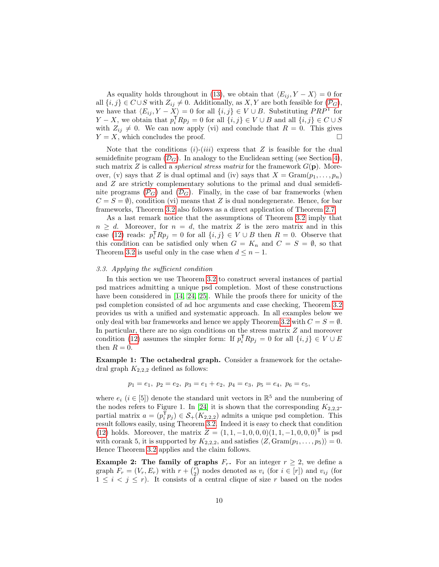As equality holds throughout in [\(13\)](#page-8-1), we obtain that  $\langle E_{ij}, Y - X \rangle = 0$  for all  $\{i, j\} \in C \cup S$  with  $Z_{ij} \neq 0$ . Additionally, as  $X, Y$  are both feasible for  $(\mathcal{P}_G)$  $(\mathcal{P}_G)$  $(\mathcal{P}_G)$ , we have that  $\langle E_{ij} , Y - X \rangle = 0$  for all  $\{i, j\} \in V \cup B$ . Substituting  $PRP^{\mathsf{T}}$  for  $Y - X$ , we obtain that  $p_i^{\mathsf{T}} R p_j = 0$  for all  $\{i, j\} \in V \cup B$  and all  $\{i, j\} \in C \cup S$ with  $Z_{ij} \neq 0$ . We can now apply (vi) and conclude that  $R = 0$ . This gives  $Y = X$ , which concludes the proof.

Note that the conditions  $(i)-(iii)$  express that Z is feasible for the dual semidefinite program  $(\mathcal{D}_G)$  $(\mathcal{D}_G)$  $(\mathcal{D}_G)$ . In analogy to the Euclidean setting (see Section [4\)](#page-13-0), such matrix Z is called a *spherical stress matrix* for the framework  $G(\mathbf{p})$ . Moreover, (v) says that Z is dual optimal and (iv) says that  $X = \text{Gram}(p_1, \ldots, p_n)$ and Z are strictly complementary solutions to the primal and dual semidefinite programs  $(\mathcal{P}_G)$  $(\mathcal{P}_G)$  $(\mathcal{P}_G)$  and  $(\mathcal{D}_G)$  $(\mathcal{D}_G)$  $(\mathcal{D}_G)$ . Finally, in the case of bar frameworks (when  $C = S = \emptyset$ , condition (vi) means that Z is dual nondegenerate. Hence, for bar frameworks, Theorem [3.2](#page-8-0) also follows as a direct application of Theorem [2.7.](#page-6-2)

As a last remark notice that the assumptions of Theorem [3.2](#page-8-0) imply that  $n \geq d$ . Moreover, for  $n = d$ , the matrix Z is the zero matrix and in this case [\(12\)](#page-7-3) reads:  $p_i^{\mathsf{T}} R p_j = 0$  for all  $\{i, j\} \in V \cup B$  then  $R = 0$ . Observe that this condition can be satisfied only when  $G = K_n$  and  $C = S = \emptyset$ , so that Theorem [3.2](#page-8-0) is useful only in the case when  $d \leq n - 1$ .

## <span id="page-9-0"></span>3.3. Applying the sufficient condition

In this section we use Theorem [3.2](#page-8-0) to construct several instances of partial psd matrices admitting a unique psd completion. Most of these constructions have been considered in [\[14,](#page-25-1) [24,](#page-26-2) [25\]](#page-26-3). While the proofs there for unicity of the psd completion consisted of ad hoc arguments and case checking, Theorem [3.2](#page-8-0) provides us with a unified and systematic approach. In all examples below we only deal with bar frameworks and hence we apply Theorem [3.2](#page-8-0) with  $C = S = \emptyset$ . In particular, there are no sign conditions on the stress matrix Z and moreover condition [\(12\)](#page-7-3) assumes the simpler form: If  $p_i^{\mathsf{T}}Rp_j = 0$  for all  $\{i, j\} \in V \cup E$ then  $R = 0$ .

Example 1: The octahedral graph. Consider a framework for the octahedral graph  $K_{2,2,2}$  defined as follows:

$$
p_1=e_1, p_2=e_2, p_3=e_1+e_2, p_4=e_3, p_5=e_4, p_6=e_5,
$$

where  $e_i$  ( $i \in [5]$ ) denote the standard unit vectors in  $\mathbb{R}^5$  and the numbering of the nodes refers to Figure 1. In [\[24\]](#page-26-2) it is shown that the corresponding  $K_{2,2,2}$ partial matrix  $a = (p_i^T p_j) \in S_+(K_{2,2,2})$  admits a unique psd completion. This result follows easily, using Theorem [3.2.](#page-8-0) Indeed it is easy to check that condition [\(12\)](#page-7-3) holds. Moreover, the matrix  $Z = (1, 1, -1, 0, 0, 0, 0, 1, 1, -1, 0, 0, 0, 0)^{\mathsf{T}}$  is psd with corank 5, it is supported by  $K_{2,2,2}$ , and satisfies  $\langle Z, \text{Gram}(p_1, \ldots, p_5) \rangle = 0$ . Hence Theorem [3.2](#page-8-0) applies and the claim follows.

**Example 2:** The family of graphs  $F_r$ . For an integer  $r \geq 2$ , we define a graph  $F_r = (V_r, E_r)$  with  $r + {r \choose 2}$  nodes denoted as  $v_i$  (for  $i \in [r]$ ) and  $v_{ij}$  (for  $1 \leq i \leq j \leq r$ ). It consists of a central clique of size r based on the nodes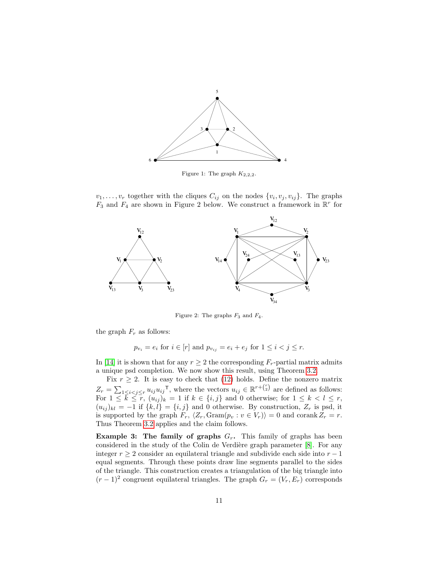

Figure 1: The graph  $K_{2,2,2}$ .

 $v_1, \ldots, v_r$  together with the cliques  $C_{ij}$  on the nodes  $\{v_i, v_j, v_{ij}\}$ . The graphs  $F_3$  and  $F_4$  are shown in Figure 2 below. We construct a framework in  $\mathbb{R}^r$  for



Figure 2: The graphs  $F_3$  and  $F_4$ .

the graph  $F_r$  as follows:

 $p_{v_i} = e_i$  for  $i \in [r]$  and  $p_{v_{ij}} = e_i + e_j$  for  $1 \leq i < j \leq r$ .

In [\[14\]](#page-25-1) it is shown that for any  $r \geq 2$  the corresponding  $F_r$ -partial matrix admits a unique psd completion. We now show this result, using Theorem [3.2.](#page-8-0)

Fix  $r \geq 2$ . It is easy to check that [\(12\)](#page-7-3) holds. Define the nonzero matrix  $Z_r = \sum_{1 \leq i < j \leq r} u_{ij} u_{ij}^\mathsf{T}$ , where the vectors  $u_{ij} \in \mathbb{R}^{r + \binom{r}{2}}$  are defined as follows: For  $1 \leq \bar{k} \leq \bar{r}$ ,  $(u_{ij})_k = 1$  if  $k \in \{i, j\}$  and 0 otherwise; for  $1 \leq k < l \leq r$ ,  $(u_{ij})_{kl} = -1$  if  $\{k, l\} = \{i, j\}$  and 0 otherwise. By construction,  $Z_r$  is psd, it is supported by the graph  $F_r$ ,  $\langle Z_r, \text{Gram}(p_v : v \in V_r) \rangle = 0$  and corank  $Z_r = r$ . Thus Theorem [3.2](#page-8-0) applies and the claim follows.

Example 3: The family of graphs  $G_r$ . This family of graphs has been considered in the study of the Colin de Verdière graph parameter [\[8\]](#page-25-7). For any integer  $r \geq 2$  consider an equilateral triangle and subdivide each side into  $r - 1$ equal segments. Through these points draw line segments parallel to the sides of the triangle. This construction creates a triangulation of the big triangle into  $(r-1)^2$  congruent equilateral triangles. The graph  $G_r = (V_r, E_r)$  corresponds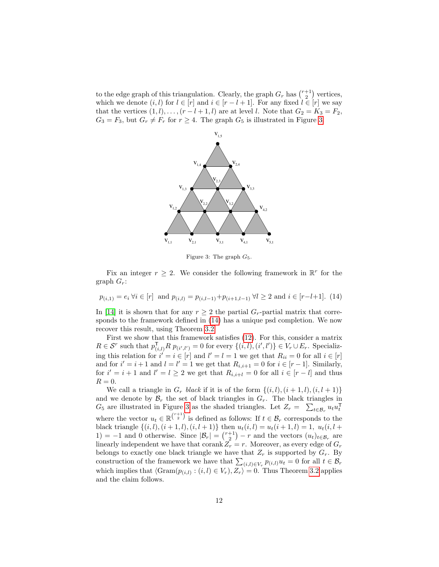to the edge graph of this triangulation. Clearly, the graph  $G_r$  has  $\binom{r+1}{2}$  vertices, which we denote  $(i, l)$  for  $l \in [r]$  and  $i \in [r - l + 1]$ . For any fixed  $l \in [r]$  we say that the vertices  $(1, l), \ldots, (r - l + 1, l)$  are at level l. Note that  $G_2 = K_3 = F_2$ ,  $G_3 = F_3$ , but  $G_r \neq F_r$  for  $r \geq 4$ . The graph  $G_5$  is illustrated in Figure [3.](#page-11-0)



<span id="page-11-0"></span>Figure 3: The graph  $G_5$ .

Fix an integer  $r \geq 2$ . We consider the following framework in  $\mathbb{R}^r$  for the graph  $G_r$ :

<span id="page-11-1"></span>
$$
p_{(i,1)} = e_i \forall i \in [r]
$$
 and  $p_{(i,l)} = p_{(i,l-1)} + p_{(i+1,l-1)} \forall l \ge 2$  and  $i \in [r-l+1]$ . (14)

In [\[14\]](#page-25-1) it is shown that for any  $r \geq 2$  the partial  $G_r$ -partial matrix that corresponds to the framework defined in [\(14\)](#page-11-1) has a unique psd completion. We now recover this result, using Theorem [3.2.](#page-8-0)

First we show that this framework satisfies [\(12\)](#page-7-3). For this, consider a matrix  $R \in \mathcal{S}^r$  such that  $p_{(i,l)}^{\mathsf{T}} R p_{(i',l')} = 0$  for every  $\{(i,l),(i',l')\} \in V_r \cup E_r$ . Specializing this relation for  $i' = i \in [r]$  and  $l' = l = 1$  we get that  $R_{ii} = 0$  for all  $i \in [r]$ and for  $i' = i + 1$  and  $l = l' = 1$  we get that  $R_{i,i+1} = 0$  for  $i \in [r-1]$ . Similarly, for  $i' = i + 1$  and  $l' = l \geq 2$  we get that  $R_{i,i+l} = 0$  for all  $i \in [r - l]$  and thus  $R=0.$ 

We call a triangle in  $G_r$  black if it is of the form  $\{(i, l), (i + 1, l), (i, l + 1)\}\$ and we denote by  $\mathcal{B}_r$  the set of black triangles in  $G_r$ . The black triangles in  $G_5$  are illustrated in Figure [3](#page-11-0) as the shaded triangles. Let  $Z_r = \sum_{t \in \mathcal{B}_r} u_t u_t^{\mathsf{T}}$ where the vector  $u_t \in \mathbb{R}^{\binom{r+1}{2}}$  is defined as follows: If  $t \in \mathcal{B}_r$  corresponds to the black triangle  $\{(i, l), (i + 1, l), (i, l + 1)\}$  then  $u_t(i, l) = u_t(i + 1, l) = 1$ ,  $u_t(i, l +$ 1) = -1 and 0 otherwise. Since  $|\mathcal{B}_r| = {r+1 \choose 2} - r$  and the vectors  $(u_t)_{t \in \mathcal{B}_r}$  are linearly independent we have that corank  $Z_r = r$ . Moreover, as every edge of  $G_r$ belongs to exactly one black triangle we have that  $Z_r$  is supported by  $G_r$ . By construction of the framework we have that  $\sum_{(i,l) \in V_r} p_{(i,l)} u_t = 0$  for all  $t \in \mathcal{B}_r$ which implies that  $\langle \text{Gram}(p_{(i,l)} : (i,l) \in V_r), Z_r \rangle = 0$ . Thus Theorem [3.2](#page-8-0) applies and the claim follows.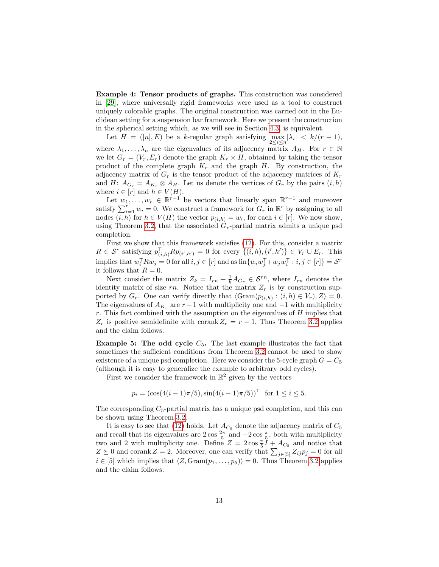Example 4: Tensor products of graphs. This construction was considered in [\[29\]](#page-26-8), where universally rigid frameworks were used as a tool to construct uniquely colorable graphs. The original construction was carried out in the Euclidean setting for a suspension bar framework. Here we present the construction in the spherical setting which, as we will see in Section [4.3,](#page-19-0) is equivalent.

Let  $H = ([n], E)$  be a k-regular graph satisfying  $\max_{2 \leq i \leq n} |\lambda_i| < k/(r-1)$ , where  $\lambda_1, \ldots, \lambda_n$  are the eigenvalues of its adjacency matrix  $A_H$ . For  $r \in \mathbb{N}$ we let  $G_r = (V_r, E_r)$  denote the graph  $K_r \times H$ , obtained by taking the tensor product of the complete graph  $K_r$  and the graph H. By construction, the adjacency matrix of  $G_r$  is the tensor product of the adjacency matrices of  $K_r$ and H:  $A_{G_r} = A_{K_r} \otimes A_H$ . Let us denote the vertices of  $G_r$  by the pairs  $(i, h)$ where  $i \in [r]$  and  $h \in V(H)$ .

Let  $w_1, \ldots, w_r \in \mathbb{R}^{r-1}$  be vectors that linearly span  $\mathbb{R}^{r-1}$  and moreover satisfy  $\sum_{i=1}^{r} w_i = 0$ . We construct a framework for  $G_r$  in  $\mathbb{R}^r$  by assigning to all nodes  $(i, h)$  for  $h \in V(H)$  the vector  $p_{(i,h)} = w_i$ , for each  $i \in [r]$ . We now show, using Theorem [3.2,](#page-8-0) that the associated  $G_r$ -partial matrix admits a unique psd completion.

First we show that this framework satisfies [\(12\)](#page-7-3). For this, consider a matrix  $R \in \mathcal{S}^r$  satisfying  $p_{(i,h)}^{\mathsf{T}} R p_{(i',h')} = 0$  for every  $\{(i,h),(i',h')\} \in V_r \cup E_r$ . This implies that  $w_i^{\mathsf{T}} R w_j = 0$  for all  $i, j \in [r]$  and as  $\lim \{w_i w_j^{\mathsf{T}} + w_j w_i^{\mathsf{T}} : i, j \in [r] \} = \mathcal{S}^r$ it follows that  $R = 0$ .

Next consider the matrix  $Z_k = I_{rn} + \frac{1}{k} A_{G_r} \in \mathcal{S}^{rn}$ , where  $I_{rn}$  denotes the identity matrix of size rn. Notice that the matrix  $Z_r$  is by construction supported by  $G_r$ . One can verify directly that  $\langle \text{Gram}(p_{(i,h)}: (i,h) \in V_r), Z \rangle = 0$ . The eigenvalues of  $A_{K_r}$  are  $r-1$  with multiplicity one and  $-1$  with multiplicity r. This fact combined with the assumption on the eigenvalues of  $H$  implies that  $Z_r$  is positive semidefinite with corank  $Z_r = r - 1$ . Thus Theorem [3.2](#page-8-0) applies and the claim follows.

**Example 5: The odd cycle**  $C_5$ . The last example illustrates the fact that sometimes the sufficient conditions from Theorem [3.2](#page-8-0) cannot be used to show existence of a unique psd completion. Here we consider the 5-cycle graph  $G = C_5$ (although it is easy to generalize the example to arbitrary odd cycles).

First we consider the framework in  $\mathbb{R}^2$  given by the vectors

$$
p_i = (\cos(4(i-1)\pi/5), \sin(4(i-1)\pi/5))^{\mathsf{T}} \text{ for } 1 \le i \le 5.
$$

The corresponding  $C_5$ -partial matrix has a unique psd completion, and this can be shown using Theorem [3.2.](#page-8-0)

It is easy to see that [\(12\)](#page-7-3) holds. Let  $A_{C_5}$  denote the adjacency matrix of  $C_5$ and recall that its eigenvalues are  $2\cos\frac{2\pi}{5}$  and  $-2\cos\frac{\pi}{5}$ , both with multiplicity two and 2 with multiplicity one. Define  $Z = 2 \cos \frac{\pi}{5} \tilde{I} + Ac_5$  and notice that  $Z \succeq 0$  and corank  $Z = 2$ . Moreover, one can verify that  $\sum_{j \in [5]} Z_{ij} p_j = 0$  for all  $i \in [5]$  which implies that  $\langle Z, \text{Gram}(p_1, \ldots, p_5) \rangle = 0$ . Thus Theorem [3.2](#page-8-0) applies and the claim follows.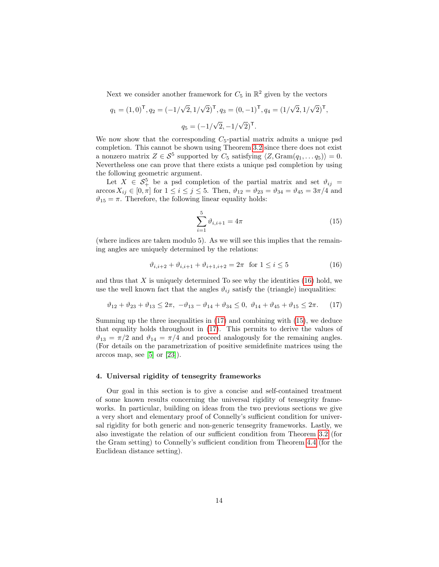Next we consider another framework for  $C_5$  in  $\mathbb{R}^2$  given by the vectors

$$
q_1 = (1,0)^{\mathsf{T}}, q_2 = (-1/\sqrt{2}, 1/\sqrt{2})^{\mathsf{T}}, q_3 = (0,-1)^{\mathsf{T}}, q_4 = (1/\sqrt{2}, 1/\sqrt{2})^{\mathsf{T}},
$$

$$
q_5 = (-1/\sqrt{2}, -1/\sqrt{2})^{\mathsf{T}}.
$$

We now show that the corresponding  $C_5$ -partial matrix admits a unique psd completion. This cannot be shown using Theorem [3.2](#page-8-0) since there does not exist a nonzero matrix  $Z \in \mathcal{S}^5$  supported by  $C_5$  satisfying  $\langle Z, \text{Gram}(q_1, \ldots q_5) \rangle = 0$ . Nevertheless one can prove that there exists a unique psd completion by using the following geometric argument.

Let  $X \in \mathcal{S}_+^5$  be a psd completion of the partial matrix and set  $\vartheta_{ij} =$  $\arccos X_{ij} \in [0, \pi]$  for  $1 \le i \le j \le 5$ . Then,  $\vartheta_{12} = \vartheta_{23} = \vartheta_{34} = \vartheta_{45} = 3\pi/4$  and  $\vartheta_{15} = \pi$ . Therefore, the following linear equality holds:

<span id="page-13-3"></span>
$$
\sum_{i=1}^{5} \vartheta_{i,i+1} = 4\pi \tag{15}
$$

(where indices are taken modulo 5). As we will see this implies that the remaining angles are uniquely determined by the relations:

<span id="page-13-1"></span>
$$
\vartheta_{i,i+2} + \vartheta_{i,i+1} + \vartheta_{i+1,i+2} = 2\pi \text{ for } 1 \le i \le 5
$$
 (16)

and thus that  $X$  is uniquely determined To see why the identities  $(16)$  hold, we use the well known fact that the angles  $\vartheta_{ij}$  satisfy the (triangle) inequalities:

<span id="page-13-2"></span>
$$
\vartheta_{12} + \vartheta_{23} + \vartheta_{13} \le 2\pi, \ -\vartheta_{13} - \vartheta_{14} + \vartheta_{34} \le 0, \ \vartheta_{14} + \vartheta_{45} + \vartheta_{15} \le 2\pi. \tag{17}
$$

Summing up the three inequalities in [\(17\)](#page-13-2) and combining with [\(15\)](#page-13-3), we deduce that equality holds throughout in [\(17\)](#page-13-2). This permits to derive the values of  $\vartheta_{13} = \pi/2$  and  $\vartheta_{14} = \pi/4$  and proceed analogously for the remaining angles. (For details on the parametrization of positive semidefinite matrices using the arccos map, see  $[5]$  or  $[23]$ ).

# <span id="page-13-0"></span>4. Universal rigidity of tensegrity frameworks

Our goal in this section is to give a concise and self-contained treatment of some known results concerning the universal rigidity of tensegrity frameworks. In particular, building on ideas from the two previous sections we give a very short and elementary proof of Connelly's sufficient condition for universal rigidity for both generic and non-generic tensegrity frameworks. Lastly, we also investigate the relation of our sufficient condition from Theorem [3.2](#page-8-0) (for the Gram setting) to Connelly's sufficient condition from Theorem [4.4](#page-15-0) (for the Euclidean distance setting).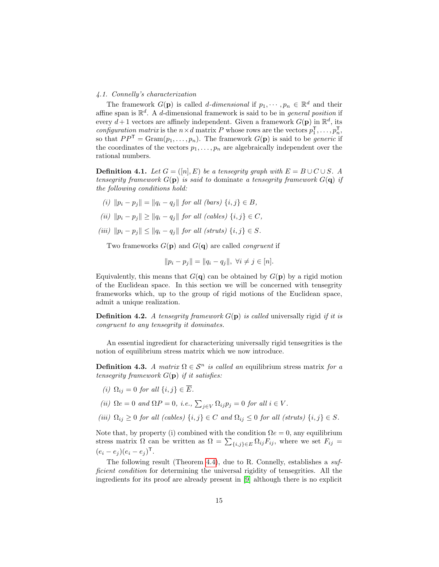## 4.1. Connelly's characterization

The framework  $G(\mathbf{p})$  is called *d*-dimensional if  $p_1, \dots, p_n \in \mathbb{R}^d$  and their affine span is  $\mathbb{R}^d$ . A d-dimensional framework is said to be in *general position* if every  $d+1$  vectors are affinely independent. Given a framework  $G(\mathbf{p})$  in  $\mathbb{R}^d$ , its configuration matrix is the  $n \times d$  matrix P whose rows are the vectors  $p_1^{\mathsf{T}}, \ldots, p_n^{\mathsf{T}}$ , so that  $PP^{\mathsf{T}} = \text{Gram}(p_1, \ldots, p_n)$ . The framework  $G(\mathbf{p})$  is said to be *generic* if the coordinates of the vectors  $p_1, \ldots, p_n$  are algebraically independent over the rational numbers.

**Definition 4.1.** Let  $G = ([n], E)$  be a tensegrity graph with  $E = B \cup C \cup S$ . A tensegrity framework  $G(\mathbf{p})$  is said to dominate a tensegrity framework  $G(\mathbf{q})$  if the following conditions hold:

- (i)  $||p_i p_j|| = ||q_i q_j||$  for all (bars)  $\{i, j\} \in B$ ,
- (ii)  $\|p_i p_j\| \ge \|q_i q_j\|$  for all (cables)  $\{i, j\} \in C$ ,
- (iii)  $\|p_i p_j\| \le \|q_i q_j\|$  for all (struts)  $\{i, j\} \in S$ .

Two frameworks  $G(\mathbf{p})$  and  $G(\mathbf{q})$  are called *congruent* if

$$
||p_i - p_j|| = ||q_i - q_j||, \ \forall i \neq j \in [n].
$$

Equivalently, this means that  $G(q)$  can be obtained by  $G(p)$  by a rigid motion of the Euclidean space. In this section we will be concerned with tensegrity frameworks which, up to the group of rigid motions of the Euclidean space, admit a unique realization.

**Definition 4.2.** A tensegrity framework  $G(\mathbf{p})$  is called universally rigid if it is congruent to any tensegrity it dominates.

An essential ingredient for characterizing universally rigid tensegrities is the notion of equilibrium stress matrix which we now introduce.

**Definition 4.3.** A matrix  $\Omega \in \mathcal{S}^n$  is called an equilibrium stress matrix for a tensegrity framework  $G(\mathbf{p})$  if it satisfies:

- (i)  $\Omega_{ij} = 0$  for all  $\{i, j\} \in \overline{E}$ .
- (ii)  $\Omega e = 0$  and  $\Omega P = 0$ , i.e.,  $\sum_{j \in V} \Omega_{ij} p_j = 0$  for all  $i \in V$ .
- (iii)  $\Omega_{ij} \geq 0$  for all (cables)  $\{i, j\} \in C$  and  $\Omega_{ij} \leq 0$  for all (struts)  $\{i, j\} \in S$ .

Note that, by property (i) combined with the condition  $\Omega e = 0$ , any equilibrium stress matrix  $\Omega$  can be written as  $\Omega = \sum_{\{i,j\} \in E} \Omega_{ij} F_{ij}$ , where we set  $F_{ij} =$  $(e_i - e_j)(e_i - e_j)^{\mathsf{T}}$ .

The following result (Theorem [4.4\)](#page-15-0), due to R. Connelly, establishes a sufficient condition for determining the universal rigidity of tensegrities. All the ingredients for its proof are already present in [\[9\]](#page-25-2) although there is no explicit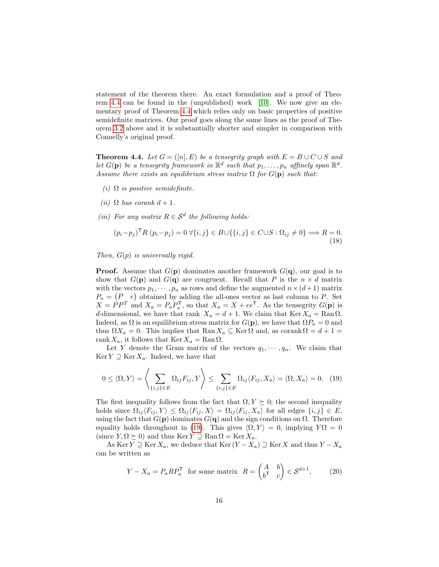statement of the theorem there. An exact formulation and a proof of Theorem [4.4](#page-15-0) can be found in the (unpublished) work [\[10\]](#page-25-3). We now give an elementary proof of Theorem [4.4](#page-15-0) which relies only on basic properties of positive semidefinite matrices. Our proof goes along the same lines as the proof of Theorem [3.2](#page-8-0) above and it is substantially shorter and simpler in comparison with Connelly's original proof.

<span id="page-15-0"></span>**Theorem 4.4.** Let  $G = ([n], E)$  be a tensegrity graph with  $E = B \cup C \cup S$  and let  $G(\mathbf{p})$  be a tensegrity framework in  $\mathbb{R}^d$  such that  $p_1, \ldots, p_n$  affinely span  $\mathbb{R}^d$ . Assume there exists an equilibrium stress matrix  $\Omega$  for  $G(\mathbf{p})$  such that:

- (i)  $\Omega$  is positive semidefinite.
- (ii)  $\Omega$  has corank  $d+1$ .
- (iii) For any matrix  $R \in \mathcal{S}^d$  the following holds:

<span id="page-15-3"></span>
$$
(p_i - p_j)^\mathsf{T} R (p_i - p_j) = 0 \,\forall \{i, j\} \in B \cup \{\{i, j\} \in C \cup S : \Omega_{ij} \neq 0\} \Longrightarrow R = 0.
$$
\n(18)

Then,  $G(p)$  is universally rigid.

**Proof.** Assume that  $G(\mathbf{p})$  dominates another framework  $G(\mathbf{q})$ , our goal is to show that  $G(\mathbf{p})$  and  $G(\mathbf{q})$  are congruent. Recall that P is the  $n \times d$  matrix with the vectors  $p_1, \dots, p_n$  as rows and define the augmented  $n \times (d+1)$  matrix  $P_a = (P \quad e)$  obtained by adding the all-ones vector as last column to P. Set  $X = PP^T$  and  $X_a = P_a P_a^T$ , so that  $X_a = X + ee^T$ . As the tensegrity  $G(\mathbf{p})$  is d-dimensional, we have that rank  $X_a = d + 1$ . We claim that Ker  $X_a = \text{Ran } \Omega$ . Indeed, as  $\Omega$  is an equilibrium stress matrix for  $G(\mathbf{p})$ , we have that  $\Omega P_a = 0$  and thus  $\Omega X_a = 0$ . This implies that  $\text{Ran} X_a \subseteq \text{Ker} \Omega$  and, as corank  $\Omega = d + 1 =$ rank  $X_a$ , it follows that Ker  $X_a = \text{Ran}\Omega$ .

Let Y denote the Gram matrix of the vectors  $q_1, \dots, q_n$ . We claim that  $\text{Ker } Y \supseteq \text{Ker } X_a$ . Indeed, we have that

<span id="page-15-1"></span>
$$
0 \leq \langle \Omega, Y \rangle = \left\langle \sum_{\{i,j\} \in E} \Omega_{ij} F_{ij}, Y \right\rangle \leq \sum_{\{i,j\} \in E} \Omega_{ij} \langle F_{ij}, X_a \rangle = \langle \Omega, X_a \rangle = 0. \tag{19}
$$

The first inequality follows from the fact that  $\Omega, Y \succeq 0$ ; the second inequality holds since  $\Omega_{ij} \langle F_{ij}, Y \rangle \leq \Omega_{ij} \langle F_{ij}, X \rangle = \Omega_{ij} \langle F_{ij}, X_a \rangle$  for all edges  $\{i, j\} \in E$ , using the fact that  $G(\mathbf{p})$  dominates  $G(\mathbf{q})$  and the sign conditions on  $\Omega$ . Therefore equality holds throughout in [\(19\)](#page-15-1). This gives  $\langle \Omega, Y \rangle = 0$ , implying  $Y\Omega = 0$ (since  $Y, \Omega \succeq 0$ ) and thus Ker  $Y \supseteq \text{Ran } \Omega = \text{Ker } X_a$ .

As Ker  $Y \supseteq \text{Ker } X_a$ , we deduce that  $\text{Ker } (Y - X_a) \supseteq \text{Ker } X$  and thus  $Y - X_a$ can be written as

<span id="page-15-2"></span>
$$
Y - X_a = P_a R P_a^{\mathsf{T}} \text{ for some matrix } R = \begin{pmatrix} A & b \\ b^{\mathsf{T}} & c \end{pmatrix} \in \mathcal{S}^{d+1},\tag{20}
$$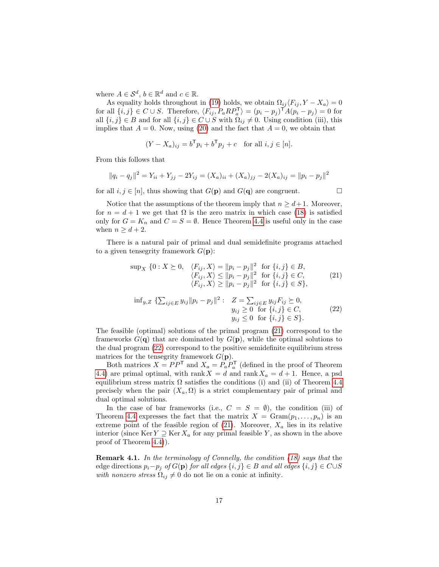where  $A \in \mathcal{S}^d$ ,  $b \in \mathbb{R}^d$  and  $c \in \mathbb{R}$ .

As equality holds throughout in [\(19\)](#page-15-1) holds, we obtain  $\Omega_{ij} \langle F_{ij}, Y - X_a \rangle = 0$ for all  $\{i, j\} \in C \cup S$ . Therefore,  $\langle F_{ij}, P_a R P_a^{\mathsf{T}} \rangle = (p_i - p_j)^{\mathsf{T}} A (p_i - p_j) = 0$  for all  $\{i, j\} \in B$  and for all  $\{i, j\} \in C \cup S$  with  $\Omega_{ij} \neq 0$ . Using condition (iii), this implies that  $A = 0$ . Now, using [\(20\)](#page-15-2) and the fact that  $A = 0$ , we obtain that

$$
(Y - X_a)_{ij} = b^{\mathsf{T}} p_i + b^{\mathsf{T}} p_j + c \quad \text{for all } i, j \in [n].
$$

From this follows that

$$
||q_i - q_j||^2 = Y_{ii} + Y_{jj} - 2Y_{ij} = (X_a)_{ii} + (X_a)_{jj} - 2(X_a)_{ij} = ||p_i - p_j||^2
$$

for all  $i, j \in [n]$ , thus showing that  $G(\mathbf{p})$  and  $G(\mathbf{q})$  are congruent.

Notice that the assumptions of the theorem imply that  $n \geq d+1$ . Moreover, for  $n = d + 1$  we get that  $\Omega$  is the zero matrix in which case [\(18\)](#page-15-3) is satisfied only for  $G = K_n$  and  $C = S = \emptyset$ . Hence Theorem [4.4](#page-15-0) is useful only in the case when  $n \geq d+2$ .

There is a natural pair of primal and dual semidefinite programs attached to a given tensegrity framework  $G(\mathbf{p})$ :

<span id="page-16-0"></span>
$$
\sup_{X} \{0: X \succeq 0, \langle F_{ij}, X \rangle = \|p_i - p_j\|^2 \text{ for } \{i, j\} \in B, \langle F_{ij}, X \rangle \le \|p_i - p_j\|^2 \text{ for } \{i, j\} \in C, \langle F_{ij}, X \rangle \ge \|p_i - p_j\|^2 \text{ for } \{i, j\} \in S \},
$$
\n(21)

<span id="page-16-1"></span>
$$
\inf_{y,Z} \{ \sum_{ij \in E} y_{ij} ||p_i - p_j||^2 : \n\begin{cases}\nZ = \sum_{ij \in E} y_{ij} F_{ij} \succeq 0, \\
y_{ij} \geq 0 \text{ for } \{i, j\} \in C, \\
y_{ij} \leq 0 \text{ for } \{i, j\} \in S\}.\n\end{cases}\n\tag{22}
$$

The feasible (optimal) solutions of the primal program [\(21\)](#page-16-0) correspond to the frameworks  $G(q)$  that are dominated by  $G(p)$ , while the optimal solutions to the dual program [\(22\)](#page-16-1) correspond to the positive semidefinite equilibrium stress matrices for the tensegrity framework  $G(\mathbf{p})$ .

Both matrices  $X = PP^{\mathsf{T}}$  and  $X_a = P_a P_a^{\mathsf{T}}$  (defined in the proof of Theorem [4.4\)](#page-15-0) are primal optimal, with rank  $X = d$  and rank  $X_a = d + 1$ . Hence, a psd equilibrium stress matrix  $\Omega$  satisfies the conditions (i) and (ii) of Theorem [4.4](#page-15-0) precisely when the pair  $(X_a, \Omega)$  is a strict complementary pair of primal and dual optimal solutions.

In the case of bar frameworks (i.e.,  $C = S = \emptyset$ ), the condition (iii) of Theorem [4.4](#page-15-0) expresses the fact that the matrix  $X = \text{Gram}(p_1, \ldots, p_n)$  is an extreme point of the feasible region of  $(21)$ . Moreover,  $X_a$  lies in its relative interior (since Ker  $Y \supseteq \text{Ker } X_a$  for any primal feasible Y, as shown in the above proof of Theorem [4.4\)](#page-15-0)).

Remark 4.1. In the terminology of Connelly, the condition [\(18\)](#page-15-3) says that the edge directions  $p_i-p_j$  of  $G(\mathbf{p})$  for all edges  $\{i,j\} \in B$  and all edges  $\{i,j\} \in C \cup S$ with nonzero stress  $\Omega_{ij} \neq 0$  do not lie on a conic at infinity.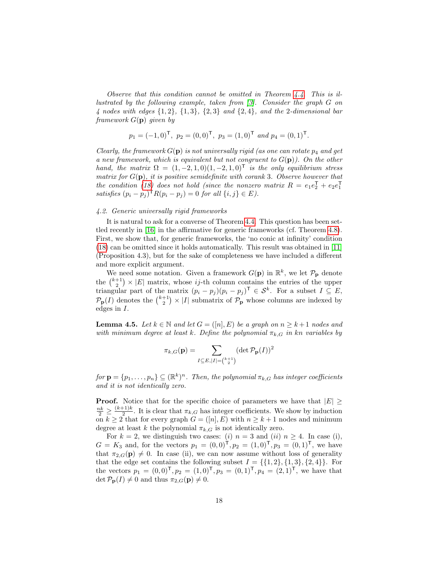Observe that this condition cannot be omitted in Theorem  $4.4$ . This is illustrated by the following example, taken from [\[3\]](#page-25-6). Consider the graph G on 4 nodes with edges  $\{1,2\}$ ,  $\{1,3\}$ ,  $\{2,3\}$  and  $\{2,4\}$ , and the 2-dimensional bar framework  $G(\mathbf{p})$  given by

$$
p_1 = (-1, 0)^{\mathsf{T}}, p_2 = (0, 0)^{\mathsf{T}}, p_3 = (1, 0)^{\mathsf{T}}
$$
 and  $p_4 = (0, 1)^{\mathsf{T}}$ .

Clearly, the framework  $G(\mathbf{p})$  is not universally rigid (as one can rotate  $p_4$  and get a new framework, which is equivalent but not congruent to  $G(\mathbf{p})$ ). On the other hand, the matrix  $\Omega = (1, -2, 1, 0) (1, -2, 1, 0)^{\mathsf{T}}$  is the only equilibrium stress matrix for  $G(\mathbf{p})$ , it is positive semidefinite with corank 3. Observe however that the condition [\(18\)](#page-15-3) does not hold (since the nonzero matrix  $R = e_1e_2^{\mathsf{T}} + e_2e_1^{\mathsf{T}}$ satisfies  $(p_i - p_j)^{\mathsf{T}} R(p_i - p_j) = 0$  for all  $\{i, j\} \in E$ ).

# <span id="page-17-0"></span>4.2. Generic universally rigid frameworks

It is natural to ask for a converse of Theorem [4.4.](#page-15-0) This question has been settled recently in [\[16\]](#page-26-4) in the affirmative for generic frameworks (cf. Theorem [4.8\)](#page-19-1). First, we show that, for generic frameworks, the 'no conic at infinity' condition [\(18\)](#page-15-3) can be omitted since it holds automatically. This result was obtained in [\[11\]](#page-25-4) (Proposition 4.3), but for the sake of completeness we have included a different and more explicit argument.

We need some notation. Given a framework  $G(\mathbf{p})$  in  $\mathbb{R}^k$ , we let  $\mathcal{P}_{\mathbf{p}}$  denote the  $\binom{k+1}{2}$  × |E| matrix, whose ij-th column contains the entries of the upper triangular part of the matrix  $(p_i - p_j)(p_i - p_j)^T \in \mathcal{S}^k$ . For a subset  $I \subseteq E$ ,  $\mathcal{P}_{\mathbf{p}}(I)$  denotes the  $\binom{k+1}{2} \times |I|$  submatrix of  $\mathcal{P}_{\mathbf{p}}$  whose columns are indexed by edges in I.

<span id="page-17-1"></span>**Lemma 4.5.** Let  $k \in \mathbb{N}$  and let  $G = ([n], E)$  be a graph on  $n \geq k+1$  nodes and with minimum degree at least k. Define the polynomial  $\pi_{k,G}$  in kn variables by

$$
\pi_{k,G}(\mathbf{p}) = \sum_{I \subseteq E, |I| = \binom{k+1}{2}} (\det \mathcal{P}_{\mathbf{p}}(I))^2
$$

 $for \mathbf{p} = \{p_1, \ldots, p_n\} \subseteq (\mathbb{R}^k)^n$ . Then, the polynomial  $\pi_{k,G}$  has integer coefficients and it is not identically zero.

**Proof.** Notice that for the specific choice of parameters we have that  $|E| \ge$  $\frac{nk}{2} \geq \frac{(k+1)k}{2}$  $\frac{E_1}{2}$ . It is clear that  $\pi_{k,G}$  has integer coefficients. We show by induction on  $k \ge 2$  that for every graph  $G = (n, E)$  with  $n \ge k + 1$  nodes and minimum degree at least k the polynomial  $\pi_{k,G}$  is not identically zero.

For  $k = 2$ , we distinguish two cases: (i)  $n = 3$  and (ii)  $n \ge 4$ . In case (i),  $G = K_3$  and, for the vectors  $p_1 = (0,0)^T, p_2 = (1,0)^T, p_3 = (0,1)^T$ , we have that  $\pi_{2,G}(\mathbf{p}) \neq 0$ . In case (ii), we can now assume without loss of generality that the edge set contains the following subset  $I = \{\{1, 2\}, \{1, 3\}, \{2, 4\}\}\.$  For the vectors  $p_1 = (0, 0)^{\mathsf{T}}, p_2 = (1, 0)^{\mathsf{T}}, p_3 = (0, 1)^{\mathsf{T}}, p_4 = (2, 1)^{\mathsf{T}},$  we have that det  $\mathcal{P}_{\mathbf{p}}(I) \neq 0$  and thus  $\pi_{2,G}(\mathbf{p}) \neq 0$ .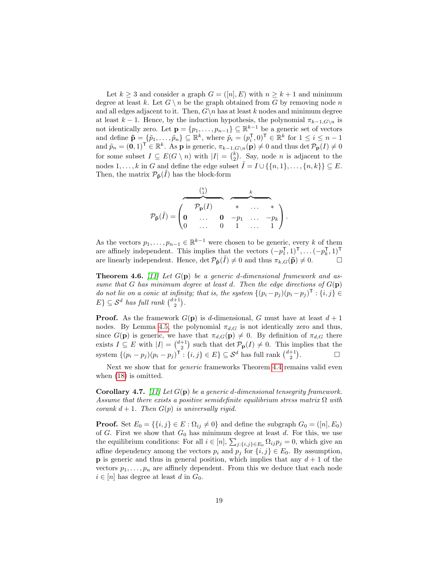Let  $k \geq 3$  and consider a graph  $G = ([n], E)$  with  $n \geq k + 1$  and minimum degree at least k. Let  $G \setminus n$  be the graph obtained from G by removing node n and all edges adjacent to it. Then,  $G\backslash n$  has at least k nodes and minimum degree at least  $k - 1$ . Hence, by the induction hypothesis, the polynomial  $\pi_{k-1,G\setminus n}$  is not identically zero. Let  $\mathbf{p} = \{p_1, \ldots, p_{n-1}\} \subseteq \mathbb{R}^{k-1}$  be a generic set of vectors and define  $\tilde{\mathbf{p}} = \{\tilde{p}_1, \ldots, \tilde{p}_n\} \subseteq \mathbb{R}^k$ , where  $\tilde{p}_i = (p_i^{\mathsf{T}}, 0)^{\mathsf{T}} \in \mathbb{R}^k$  for  $1 \leq i \leq n-1$ and  $\tilde{p}_n = (\mathbf{0}, 1)^{\mathsf{T}} \in \mathbb{R}^k$ . As **p** is generic,  $\pi_{k-1, G \setminus n}(\mathbf{p}) \neq 0$  and thus det  $\mathcal{P}_{\mathbf{p}}(I) \neq 0$ for some subset  $I \subseteq E(G \setminus n)$  with  $|I| = {k \choose 2}$ . Say, node *n* is adjacent to the nodes  $1, \ldots, k$  in G and define the edge subset  $\tilde{I} = I \cup \{\{n, 1\}, \ldots, \{n, k\}\} \subseteq E$ . Then, the matrix  $\mathcal{P}_{\tilde{\mathbf{p}}}(\tilde{I})$  has the block-form

$$
\mathcal{P}_{\tilde{\mathbf{p}}}(\tilde{I}) = \begin{pmatrix} \begin{matrix} \begin{matrix} k \\ 2 \end{matrix} \\ \begin{matrix} k \\ 0 \end{matrix} \\ \begin{matrix} k \\ 0 \end{matrix} \\ \begin{matrix} k \\ 0 \end{matrix} \\ \begin{matrix} k \\ 0 \end{matrix} \\ \begin{matrix} k \\ 0 \end{matrix} \\ \begin{matrix} k \\ 1 \end{matrix} \\ \begin{matrix} k \\ 0 \end{matrix} \\ \begin{matrix} k \\ 1 \end{matrix} \\ \begin{matrix} k \\ 0 \end{matrix} \\ \begin{matrix} k \\ 1 \end{matrix} \\ \begin{matrix} k \\ 0 \end{matrix} \\ \begin{matrix} k \\ 1 \end{matrix} \\ \begin{matrix} k \\ 0 \end{matrix} \\ \begin{matrix} k \\ 1 \end{matrix} \\ \begin{matrix} k \\ 0 \end{matrix} \end{pmatrix} \begin{matrix} k \\ 0 \end{matrix} \\ \begin{matrix} k \\ 1 \end{matrix} \\ \begin{matrix} k \\ 0 \end{matrix} \\ \begin{matrix} k \\ 1 \end{matrix} \\ \begin{matrix} k \\ 0 \end{matrix} \\ \begin{matrix} k \\ 0 \end{matrix} \\ \begin{matrix} k \\ 1 \end{matrix} \\ \begin{matrix} k \\ 0 \end{matrix} \\ \begin{matrix} k \\ 0 \end{matrix} \end{matrix} \end{pmatrix} \begin{matrix} k \\ k \\ k \end{matrix} \begin{matrix} k \\ 0 \end{matrix} \\ \begin{matrix} k \\ 0 \end{matrix} \\ \begin{matrix} k \\ 1 \end{matrix} \\ \begin{matrix} k \\ 0 \end{matrix} \\ \begin{matrix} k \\ 0 \end{matrix} \\ \begin{matrix} k \\ 1 \end{matrix} \\ \begin{matrix} k \\ 0 \end{matrix} \\ \begin{matrix} k \\ 0 \end{matrix} \\ \begin{matrix} k \\ 1 \end{matrix} \\ \begin{matrix} k \\ 0 \end{matrix} \\ \begin{matrix} k \\ 0 \end{matrix} \\ \begin{matrix} k \\ 1 \end{matrix} \\ \begin{matrix} k \\ 0 \end{matrix} \\ \begin{matrix} k \\ 0 \end{matrix} \\ \begin{matrix} k \\ 0 \end{matrix} \\ \begin{matrix} k \\ 0 \end{matrix} \\ \begin{matrix} k \\ 0 \end{matrix} \\ \begin{matrix} k \\ 1 \end{matrix} \\ \begin{matrix} k \\ 0 \end{matrix} \\ \begin{matrix} k \\ 0 \end{matrix} \\ \begin{matrix} k \\ 0 \end{matrix} \\ \begin{matrix} k \\
$$

As the vectors  $p_1, \ldots, p_{n-1} \in \mathbb{R}^{k-1}$  were chosen to be generic, every k of them are affinely independent. This implies that the vectors  $(-p_1^{\mathsf{T}}, 1)^{\mathsf{T}}, \ldots, (-p_k^{\mathsf{T}}, 1)^{\mathsf{T}}$ are linearly independent. Hence,  $\det \mathcal{P}_{\tilde{\mathbf{p}}}(\tilde{I}) \neq 0$  and thus  $\pi_{k,G}(\tilde{\mathbf{p}}) \neq 0$ .

<span id="page-18-0"></span>**Theorem 4.6.** [\[11\]](#page-25-4) Let  $G(\mathbf{p})$  be a generic d-dimensional framework and assume that G has minimum degree at least d. Then the edge directions of  $G(\mathbf{p})$ do not lie on a conic at infinity; that is, the system  $\{(p_i-p_j)(p_i-p_j)^\mathsf{T}: \{i,j\} \in$  $E\}\subseteq S^d$  has full rank  $\binom{d+1}{2}$ .

**Proof.** As the framework  $G(\mathbf{p})$  is d-dimensional, G must have at least  $d+1$ nodes. By Lemma [4.5,](#page-17-1) the polynomial  $\pi_{d,G}$  is not identically zero and thus, since  $G(\mathbf{p})$  is generic, we have that  $\pi_{d,G}(\mathbf{p}) \neq 0$ . By definition of  $\pi_{d,G}$  there exists  $I \subseteq E$  with  $|I| = \binom{d+1}{2}$  such that  $\det \mathcal{P}_{\mathbf{p}}(I) \neq 0$ . This implies that the system  $\{(p_i - p_j)(p_i - p_j)^{\mathsf{T}} : \{i, j\} \in E\} \subseteq \mathcal{S}^d$  has full rank  $\binom{d+1}{2}$ .

Next we show that for *generic* frameworks Theorem [4.4](#page-15-0) remains valid even when [\(18\)](#page-15-3) is omitted.

<span id="page-18-1"></span>**Corollary 4.7.** [\[11\]](#page-25-4) Let  $G(\mathbf{p})$  be a generic d-dimensional tensegrity framework. Assume that there exists a positive semidefinite equilibrium stress matrix  $\Omega$  with corank  $d + 1$ . Then  $G(p)$  is universally rigid.

**Proof.** Set  $E_0 = \{\{i, j\} \in E : \Omega_{ij} \neq 0\}$  and define the subgraph  $G_0 = ([n], E_0)$ of  $G$ . First we show that  $G_0$  has minimum degree at least  $d$ . For this, we use the equilibrium conditions: For all  $i \in [n]$ ,  $\sum_{j:\{i,j\} \in E_0} \Omega_{ij} p_j = 0$ , which give an affine dependency among the vectors  $p_i$  and  $p_j$  for  $\{i, j\} \in E_0$ . By assumption, **p** is generic and thus in general position, which implies that any  $d + 1$  of the vectors  $p_1, \ldots, p_n$  are affinely dependent. From this we deduce that each node  $i \in [n]$  has degree at least d in  $G_0$ .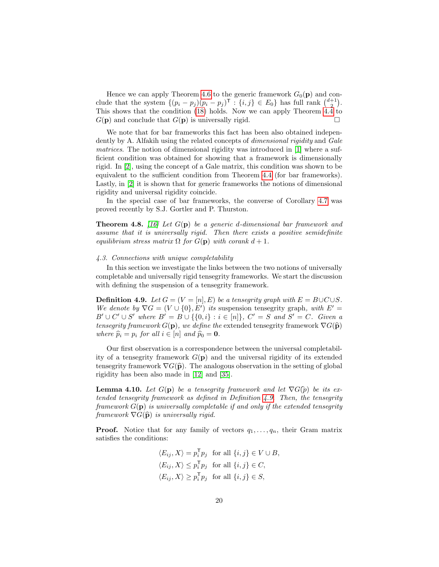Hence we can apply Theorem [4.6](#page-18-0) to the generic framework  $G_0(\mathbf{p})$  and conclude that the system  $\{(p_i - p_j)(p_i - p_j)^\mathsf{T} : \{i, j\} \in E_0\}$  has full rank  $\binom{d+1}{2}$ . This shows that the condition [\(18\)](#page-15-3) holds. Now we can apply Theorem [4.4](#page-15-0) to  $G(\mathbf{p})$  and conclude that  $G(\mathbf{p})$  is universally rigid.

We note that for bar frameworks this fact has been also obtained independently by A. Alfakih using the related concepts of *dimensional rigidity* and *Gale* matrices. The notion of dimensional rigidity was introduced in [\[1\]](#page-25-11) where a sufficient condition was obtained for showing that a framework is dimensionally rigid. In [\[2\]](#page-25-12), using the concept of a Gale matrix, this condition was shown to be equivalent to the sufficient condition from Theorem [4.4](#page-15-0) (for bar frameworks). Lastly, in [\[2\]](#page-25-12) it is shown that for generic frameworks the notions of dimensional rigidity and universal rigidity coincide.

In the special case of bar frameworks, the converse of Corollary [4.7](#page-18-1) was proved recently by S.J. Gortler and P. Thurston.

<span id="page-19-1"></span>**Theorem 4.8.** [\[16\]](#page-26-4) Let  $G(\mathbf{p})$  be a generic d-dimensional bar framework and assume that it is universally rigid. Then there exists a positive semidefinite equilibrium stress matrix  $\Omega$  for  $G(\mathbf{p})$  with corank  $d+1$ .

## <span id="page-19-0"></span>4.3. Connections with unique completability

In this section we investigate the links between the two notions of universally completable and universally rigid tensegrity frameworks. We start the discussion with defining the suspension of a tensegrity framework.

<span id="page-19-2"></span>**Definition 4.9.** Let  $G = (V = [n], E)$  be a tensegrity graph with  $E = B \cup C \cup S$ . We denote by  $\nabla G = (V \cup \{0\}, E')$  its suspension tensegrity graph, with  $E' =$  $B' \cup C' \cup S'$  where  $B' = B \cup \{\{0, i\} : i \in [n]\}, C' = S$  and  $S' = C$ . Given a tensegrity framework  $G(\mathbf{p})$ , we define the extended tensegrity framework  $\nabla G(\widehat{\mathbf{p}})$ where  $\widehat{p}_i = p_i$  for all  $i \in [n]$  and  $\widehat{p}_0 = \mathbf{0}$ .

Our first observation is a correspondence between the universal completability of a tensegrity framework  $G(\mathbf{p})$  and the universal rigidity of its extended tensegrity framework  $\nabla G(\hat{\mathbf{p}})$ . The analogous observation in the setting of global rigidity has been also made in [\[12\]](#page-25-5) and [\[35\]](#page-27-1).

<span id="page-19-3"></span>**Lemma 4.10.** Let  $G(\mathbf{p})$  be a tensegrity framework and let  $\nabla G(\hat{p})$  be its extended tensegrity framework as defined in Definition [4.9.](#page-19-2) Then, the tensegrity framework  $G(\mathbf{p})$  is universally completable if and only if the extended tensegrity framework  $\nabla G(\hat{\mathbf{p}})$  is universally rigid.

**Proof.** Notice that for any family of vectors  $q_1, \ldots, q_n$ , their Gram matrix satisfies the conditions:

$$
\langle E_{ij}, X \rangle = p_i^{\mathsf{T}} p_j \text{ for all } \{i, j\} \in V \cup B,
$$
  

$$
\langle E_{ij}, X \rangle \leq p_i^{\mathsf{T}} p_j \text{ for all } \{i, j\} \in C,
$$
  

$$
\langle E_{ij}, X \rangle \geq p_i^{\mathsf{T}} p_j \text{ for all } \{i, j\} \in S,
$$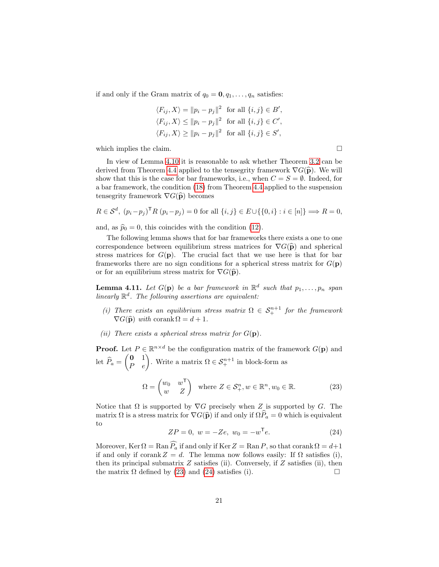if and only if the Gram matrix of  $q_0 = \mathbf{0}, q_1, \ldots, q_n$  satisfies:

$$
\langle F_{ij}, X \rangle = ||p_i - p_j||^2 \text{ for all } \{i, j\} \in B',
$$
  

$$
\langle F_{ij}, X \rangle \le ||p_i - p_j||^2 \text{ for all } \{i, j\} \in C',
$$
  

$$
\langle F_{ij}, X \rangle \ge ||p_i - p_j||^2 \text{ for all } \{i, j\} \in S',
$$

which implies the claim.  $\Box$ 

In view of Lemma [4.10](#page-19-3) it is reasonable to ask whether Theorem [3.2](#page-8-0) can be derived from Theorem [4.4](#page-15-0) applied to the tensegrity framework  $\nabla G(\hat{\mathbf{p}})$ . We will show that this is the case for bar frameworks, i.e., when  $C = S = \emptyset$ . Indeed, for a bar framework, the condition [\(18\)](#page-15-3) from Theorem [4.4](#page-15-0) applied to the suspension tensegrity framework  $\nabla G(\hat{\mathbf{p}})$  becomes

$$
R \in \mathcal{S}^d, (p_i - p_j)^\mathsf{T} R (p_i - p_j) = 0 \text{ for all } \{i, j\} \in E \cup \{\{0, i\} : i \in [n]\} \Longrightarrow R = 0,
$$

and, as  $\hat{p}_0 = 0$ , this coincides with the condition [\(12\)](#page-7-3).

The following lemma shows that for bar frameworks there exists a one to one correspondence between equilibrium stress matrices for  $\nabla G(\hat{\mathbf{p}})$  and spherical stress matrices for  $G(\mathbf{p})$ . The crucial fact that we use here is that for bar frameworks there are no sign conditions for a spherical stress matrix for  $G(\mathbf{p})$ or for an equilibrium stress matrix for  $\nabla G(\hat{\mathbf{p}})$ .

<span id="page-20-2"></span>**Lemma 4.11.** Let  $G(\mathbf{p})$  be a bar framework in  $\mathbb{R}^d$  such that  $p_1, \ldots, p_n$  span linearly  $\mathbb{R}^d$ . The following assertions are equivalent:

- (i) There exists an equilibrium stress matrix  $\Omega \in S^{n+1}_+$  for the framework  $\nabla G(\widehat{\mathbf{p}})$  with corank  $\Omega = d + 1$ .
- (ii) There exists a spherical stress matrix for  $G(\mathbf{p})$ .

**Proof.** Let  $P \in \mathbb{R}^{n \times d}$  be the configuration matrix of the framework  $G(\mathbf{p})$  and let  $\widehat{P}_a = \begin{pmatrix} 0 & 1 \\ P & e \end{pmatrix}$ . Write a matrix  $\Omega \in \mathcal{S}_{+}^{n+1}$  in block-form as

<span id="page-20-0"></span>
$$
\Omega = \begin{pmatrix} w_0 & w^{\mathsf{T}} \\ w & Z \end{pmatrix} \text{ where } Z \in \mathcal{S}_+^n, w \in \mathbb{R}^n, w_0 \in \mathbb{R}.
$$
 (23)

Notice that  $\Omega$  is supported by  $\nabla G$  precisely when Z is supported by G. The matrix  $\Omega$  is a stress matrix for  $\nabla G(\hat{\mathbf{p}})$  if and only if  $\Omega \hat{P}_a = 0$  which is equivalent to

<span id="page-20-1"></span>
$$
ZP = 0, \ w = -Ze, \ w_0 = -w^{\mathsf{T}}e. \tag{24}
$$

Moreover, Ker  $\Omega = \text{Ran}\,\widehat{P_a}$  if and only if Ker  $Z = \text{Ran}\,P$ , so that corank  $\Omega = d+1$ if and only if corank  $Z = d$ . The lemma now follows easily: If  $\Omega$  satisfies (i), then its principal submatrix  $Z$  satisfies (ii). Conversely, if  $Z$  satisfies (ii), then the matrix  $\Omega$  defined by [\(23\)](#page-20-0) and [\(24\)](#page-20-1) satisfies (i).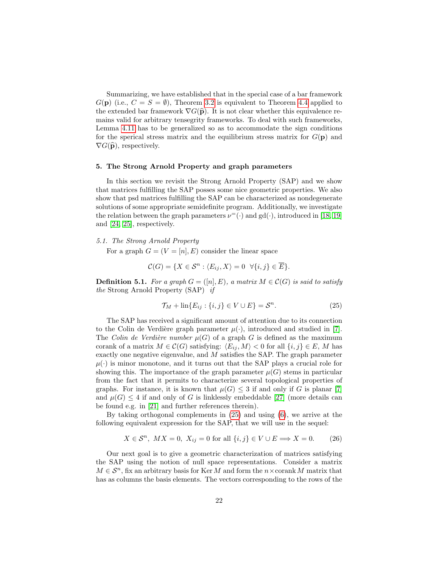Summarizing, we have established that in the special case of a bar framework  $G(\mathbf{p})$  (i.e.,  $C = S = \emptyset$ ), Theorem [3.2](#page-8-0) is equivalent to Theorem [4.4](#page-15-0) applied to the extended bar framework  $\nabla G(\hat{\mathbf{p}})$ . It is not clear whether this equivalence remains valid for arbitrary tensegrity frameworks. To deal with such frameworks, Lemma [4.11](#page-20-2) has to be generalized so as to accommodate the sign conditions for the sperical stress matrix and the equilibrium stress matrix for  $G(\mathbf{p})$  and  $\nabla G(\widehat{\mathbf{p}})$ , respectively.

## <span id="page-21-0"></span>5. The Strong Arnold Property and graph parameters

In this section we revisit the Strong Arnold Property (SAP) and we show that matrices fulfilling the SAP posses some nice geometric properties. We also show that psd matrices fulfilling the SAP can be characterized as nondegenerate solutions of some appropriate semidefinite program. Additionally, we investigate the relation between the graph parameters  $\nu^=(\cdot)$  and  $gd(\cdot)$ , introduced in [\[18,](#page-26-5) [19\]](#page-26-6) and [\[24,](#page-26-2) [25\]](#page-26-3), respectively.

## 5.1. The Strong Arnold Property

For a graph  $G = (V = [n], E)$  consider the linear space

$$
\mathcal{C}(G) = \{ X \in \mathcal{S}^n : \langle E_{ij}, X \rangle = 0 \ \forall \{i, j\} \in \overline{E} \}.
$$

**Definition 5.1.** For a graph  $G = ([n], E)$ , a matrix  $M \in \mathcal{C}(G)$  is said to satisfy the Strong Arnold Property (SAP) if

<span id="page-21-1"></span>
$$
\mathcal{T}_M + \text{lin}\{E_{ij} : \{i, j\} \in V \cup E\} = \mathcal{S}^n. \tag{25}
$$

The SAP has received a significant amount of attention due to its connection to the Colin de Verdière graph parameter  $\mu(\cdot)$ , introduced and studied in [\[7\]](#page-25-13). The Colin de Verdière number  $\mu(G)$  of a graph G is defined as the maximum corank of a matrix  $M \in \mathcal{C}(G)$  satisfying:  $\langle E_{ij}, M \rangle < 0$  for all  $\{i, j\} \in E$ , M has exactly one negative eigenvalue, and M satisfies the SAP. The graph parameter  $\mu(\cdot)$  is minor monotone, and it turns out that the SAP plays a crucial role for showing this. The importance of the graph parameter  $\mu(G)$  stems in particular from the fact that it permits to characterize several topological properties of graphs. For instance, it is known that  $\mu(G) \leq 3$  if and only if G is planar [\[7\]](#page-25-13) and  $\mu(G) \leq 4$  if and only of G is linklessly embeddable [\[27\]](#page-26-10) (more details can be found e.g. in [\[21\]](#page-26-11) and further references therein).

By taking orthogonal complements in [\(25\)](#page-21-1) and using [\(6\)](#page-5-0), we arrive at the following equivalent expression for the SAP, that we will use in the sequel:

$$
X \in \mathcal{S}^n, \; MX = 0, \; X_{ij} = 0 \text{ for all } \{i, j\} \in V \cup E \Longrightarrow X = 0. \tag{26}
$$

Our next goal is to give a geometric characterization of matrices satisfying the SAP using the notion of null space representations. Consider a matrix  $M \in \mathcal{S}^n$ , fix an arbitrary basis for Ker M and form the  $n \times$ corank M matrix that has as columns the basis elements. The vectors corresponding to the rows of the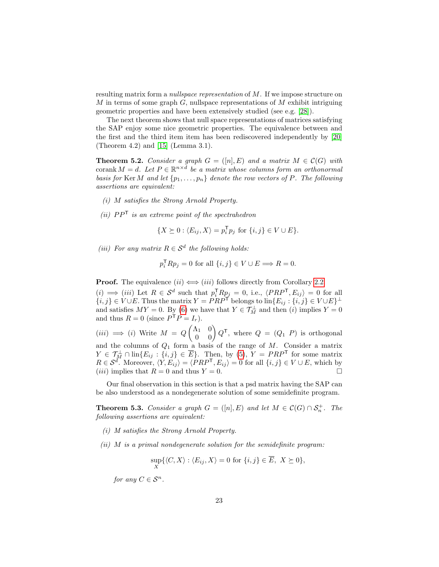resulting matrix form a nullspace representation of M. If we impose structure on  $M$  in terms of some graph  $G$ , nullspace representations of  $M$  exhibit intriguing geometric properties and have been extensively studied (see e.g. [\[28\]](#page-26-12)).

The next theorem shows that null space representations of matrices satisfying the SAP enjoy some nice geometric properties. The equivalence between and the first and the third item item has been rediscovered independently by [\[20\]](#page-26-13) (Theorem 4.2) and [\[15\]](#page-26-14) (Lemma 3.1).

<span id="page-22-0"></span>**Theorem 5.2.** Consider a graph  $G = ([n], E)$  and a matrix  $M \in \mathcal{C}(G)$  with corank  $M = d$ . Let  $P \in \mathbb{R}^{n \times d}$  be a matrix whose columns form an orthonormal basis for Ker M and let  $\{p_1, \ldots, p_n\}$  denote the row vectors of P. The following assertions are equivalent:

- (i) M satisfies the Strong Arnold Property.
- (ii)  $PP^{\mathsf{T}}$  is an extreme point of the spectrahedron

$$
\{X \succeq 0 : \langle E_{ij}, X \rangle = p_i^{\mathsf{T}} p_j \text{ for } \{i, j\} \in V \cup E\}.
$$

(iii) For any matrix  $R \in \mathcal{S}^d$  the following holds:

$$
p_i^{\mathsf{T}} R p_j = 0 \text{ for all } \{i, j\} \in V \cup E \Longrightarrow R = 0.
$$

**Proof.** The equivalence  $(ii) \iff (iii)$  follows directly from Corollary [2.2.](#page-4-0)

 $(i) \implies (iii)$  Let  $R \in \mathcal{S}^d$  such that  $p_i^{\mathsf{T}} R p_j = 0$ , i.e.,  $\langle PRP^{\mathsf{T}}, E_{ij} \rangle = 0$  for all  $\{i, j\} \in V \cup E$ . Thus the matrix  $Y = PRP^{\dagger}$  belongs to  $\text{lin}\{E_{ij} : \{i, j\} \in V \cup E\}^{\perp}$ and satisfies  $MY = 0$ . By [\(6\)](#page-5-0) we have that  $Y \in \mathcal{T}^{\perp}_M$  and then (*i*) implies  $Y = 0$ and thus  $R = 0$  (since  $P^{\mathsf{T}} P = I_r$ ).

 $(iii)$  ⇒ (*i*) Write  $M = Q \begin{pmatrix} \Lambda_1 & 0 \\ 0 & 0 \end{pmatrix} Q^{\mathsf{T}}$ , where  $Q = (Q_1 \; P)$  is orthogonal and the columns of  $Q_1$  form a basis of the range of  $M$ . Consider a matrix  $Y \in \mathcal{T}^{\perp}_M \cap \text{lin}\{E_{ij} : \{i,j\} \in \overline{E}\}.$  Then, by [\(5\)](#page-5-1),  $Y = PRP^{\mathsf{T}}$  for some matrix  $R \in \mathcal{S}^d$ . Moreover,  $\langle Y, E_{ij} \rangle = \langle PRP^{\mathsf{T}}, E_{ij} \rangle = 0$  for all  $\{i, j\} \in V \cup E$ , which by (*iii*) implies that  $R = 0$  and thus  $Y = 0$ .

Our final observation in this section is that a psd matrix having the SAP can be also understood as a nondegenerate solution of some semidefinite program.

<span id="page-22-1"></span>**Theorem 5.3.** Consider a graph  $G = ([n], E)$  and let  $M \in \mathcal{C}(G) \cap \mathcal{S}_n^+$ . The following assertions are equivalent:

- (i) M satisfies the Strong Arnold Property.
- $(ii)$  M is a primal nondegenerate solution for the semidefinite program:

$$
\sup_{X} \{ \langle C, X \rangle : \langle E_{ij}, X \rangle = 0 \text{ for } \{i, j\} \in \overline{E}, X \succeq 0 \},
$$

for any  $C \in \mathcal{S}^n$ .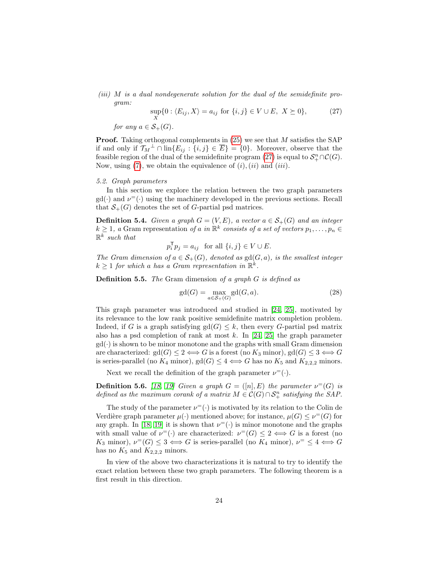(iii) M is a dual nondegenerate solution for the dual of the semidefinite program:

<span id="page-23-1"></span>
$$
\sup_X \{0 : \langle E_{ij}, X \rangle = a_{ij} \text{ for } \{i, j\} \in V \cup E, X \succeq 0\},\tag{27}
$$

for any  $a \in \mathcal{S}_+(G)$ .

**Proof.** Taking orthogonal complements in  $(25)$  we see that M satisfies the SAP if and only if  $\mathcal{T}_M^{\perp} \cap \text{lin}\{E_{ij} : \{i,j\} \in \overline{E}\} = \{0\}.$  Moreover, observe that the feasible region of the dual of the semidefinite program [\(27\)](#page-23-1) is equal to  $\mathcal{S}_{+}^{n}\cap\mathcal{C}(G)$ . Now, using  $(7)$ , we obtain the equivalence of  $(i)$ ,  $(ii)$  and  $(iii)$ .

## <span id="page-23-0"></span>5.2. Graph parameters

In this section we explore the relation between the two graph parameters  $gd(\cdot)$  and  $\nu^=(\cdot)$  using the machinery developed in the previous sections. Recall that  $S_{+}(G)$  denotes the set of G-partial psd matrices.

**Definition 5.4.** Given a graph  $G = (V, E)$ , a vector  $a \in S_+(G)$  and an integer  $k \geq 1$ , a Gram representation of a in  $\mathbb{R}^k$  consists of a set of vectors  $p_1, \ldots, p_n \in$  $\mathbb{R}^k$  such that

$$
p_i^{\mathsf{T}} p_j = a_{ij} \text{ for all } \{i, j\} \in V \cup E.
$$

The Gram dimension of  $a \in \mathcal{S}_{+}(G)$ , denoted as  $gd(G, a)$ , is the smallest integer  $k \geq 1$  for which a has a Gram representation in  $\mathbb{R}^k$ .

**Definition 5.5.** The Gram dimension of a graph  $G$  is defined as

$$
\gcd(G) = \max_{a \in \mathcal{S}_+(G)} \gcd(G, a). \tag{28}
$$

This graph parameter was introduced and studied in [\[24,](#page-26-2) [25\]](#page-26-3), motivated by its relevance to the low rank positive semidefinite matrix completion problem. Indeed, if G is a graph satisfying  $gd(G) \leq k$ , then every G-partial psd matrix also has a psd completion of rank at most  $k$ . In [\[24,](#page-26-2) [25\]](#page-26-3) the graph parameter  $gd(\cdot)$  is shown to be minor monotone and the graphs with small Gram dimension are characterized:  $gd(G) \leq 2 \Longleftrightarrow G$  is a forest (no  $K_3$  minor),  $gd(G) \leq 3 \Longleftrightarrow G$ is series-parallel (no  $K_4$  minor),  $gd(G) \leq 4 \Longleftrightarrow G$  has no  $K_5$  and  $K_{2,2,2}$  minors.

Next we recall the definition of the graph parameter  $\nu^=(\cdot)$ .

<span id="page-23-2"></span>**Definition 5.6.** [\[18,](#page-26-5) [19\]](#page-26-6) Given a graph  $G = ([n], E)$  the parameter  $\nu^=(G)$  is defined as the maximum corank of a matrix  $M \in \mathcal{C}(G) \cap \mathcal{S}_{+}^{n}$  satisfying the SAP.

The study of the parameter  $\nu^=(\cdot)$  is motivated by its relation to the Colin de Verdière graph parameter  $\mu(\cdot)$  mentioned above; for instance,  $\mu(G) \leq \nu^=(G)$  for any graph. In [\[18,](#page-26-5) [19\]](#page-26-6) it is shown that  $\nu^=(\cdot)$  is minor monotone and the graphs with small value of  $\nu^=(\cdot)$  are characterized:  $\nu^=(G) \leq 2 \iff G$  is a forest (no K<sub>3</sub> minor),  $\nu^=(G) \leq 3 \iff G$  is series-parallel (no K<sub>4</sub> minor),  $\nu^= \leq 4 \iff G$ has no  $K_5$  and  $K_{2,2,2}$  minors.

In view of the above two characterizations it is natural to try to identify the exact relation between these two graph parameters. The following theorem is a first result in this direction.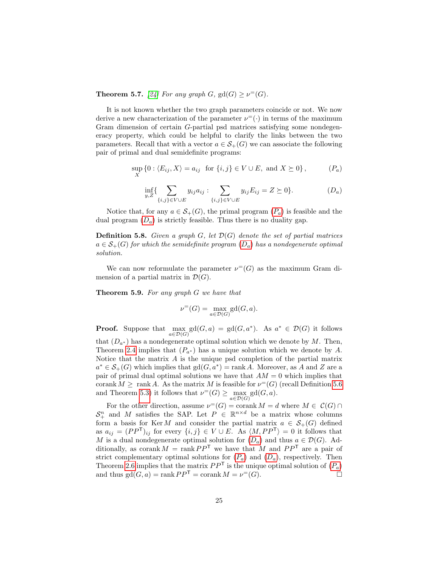**Theorem 5.7.** [\[24\]](#page-26-2) For any graph  $G$ ,  $gd(G) \geq \nu^=(G)$ .

It is not known whether the two graph parameters coincide or not. We now derive a new characterization of the parameter  $\nu^=(\cdot)$  in terms of the maximum Gram dimension of certain G-partial psd matrices satisfying some nondegeneracy property, which could be helpful to clarify the links between the two parameters. Recall that with a vector  $a \in \mathcal{S}_+(G)$  we can associate the following pair of primal and dual semidefinite programs:

$$
\sup_{X} \{0 : \langle E_{ij}, X \rangle = a_{ij} \text{ for } \{i, j\} \in V \cup E, \text{ and } X \succeq 0\},
$$
 (P<sub>a</sub>)

<span id="page-24-3"></span><span id="page-24-2"></span>
$$
\inf_{y,Z} \{ \sum_{\{i,j\} \in V \cup E} y_{ij} a_{ij} : \sum_{\{i,j\} \in V \cup E} y_{ij} E_{ij} = Z \succeq 0 \}. \tag{D_a}
$$

Notice that, for any  $a \in \mathcal{S}_{+}(G)$ , the primal program  $(P_a)$  $(P_a)$  $(P_a)$  is feasible and the dual program  $(D_a)$  $(D_a)$  $(D_a)$  is strictly feasible. Thus there is no duality gap.

**Definition 5.8.** Given a graph  $G$ , let  $\mathcal{D}(G)$  denote the set of partial matrices  $a \in \mathcal{S}_{+}(G)$  for which the semidefinite program  $(D_a)$  $(D_a)$  $(D_a)$  has a nondegenerate optimal solution.

We can now reformulate the parameter  $\nu^=(G)$  as the maximum Gram dimension of a partial matrix in  $\mathcal{D}(G)$ .

<span id="page-24-0"></span>Theorem 5.9. For any graph G we have that

$$
\nu^=(G)=\max_{a\in \mathcal{D}(G)}\mathrm{gd}(G,a).
$$

**Proof.** Suppose that  $\max_{a \in \mathcal{D}(G)} \text{sd}(G, a) = \text{gd}(G, a^*)$ . As  $a^* \in \mathcal{D}(G)$  it follows

that  $(D_{a^*})$  has a nondegenerate optimal solution which we denote by M. Then, Theorem [2.4](#page-5-2) implies that  $(P_{a^*})$  has a unique solution which we denote by A. Notice that the matrix  $A$  is the unique psd completion of the partial matrix  $a^* \in \mathcal{S}_+(G)$  which implies that  $gd(G, a^*) = \text{rank } A$ . Moreover, as A and Z are a pair of primal dual optimal solutions we have that  $AM = 0$  which implies that corank  $M \geq \text{rank } A$ . As the matrix M is feasible for  $\nu^=(G)$  (recall Definition [5.6](#page-23-2)) and Theorem [5.3\)](#page-22-1) it follows that  $\nu^=(G) \ge \max_{a \in \mathcal{D}(G)} \text{gd}(G, a)$ .

<span id="page-24-1"></span>For the other direction, assume  $\nu^=(G) = \operatorname{corank} M = d$  where  $M \in \mathcal{C}(G) \cap$  $S_{+}^{n}$  and M satisfies the SAP. Let  $P \in \mathbb{R}^{n \times d}$  be a matrix whose columns form a basis for KerM and consider the partial matrix  $a \in S_+(G)$  defined as  $a_{ij} = (PP^{\mathsf{T}})_{ij}$  for every  $\{i, j\} \in V \cup E$ . As  $\langle M, PP^{\mathsf{T}} \rangle = 0$  it follows that M is a dual nondegenerate optimal solution for  $(D_a)$  $(D_a)$  $(D_a)$  and thus  $a \in \mathcal{D}(G)$ . Additionally, as corank  $M = \text{rank } PP^{\mathsf{T}}$  we have that M and  $PP^{\mathsf{T}}$  are a pair of strict complementary optimal solutions for  $(P_a)$  $(P_a)$  $(P_a)$  and  $(D_a)$  $(D_a)$  $(D_a)$ , respectively. Then Theorem [2.6](#page-6-1) implies that the matrix  $PP^{\mathsf{T}}$  $PP^{\mathsf{T}}$  is the unique optimal solution of  $(P_a)$ and thus  $gd(G, a) = \text{rank }PP^{\mathsf{T}} = \text{corank }M = \nu^=(G).$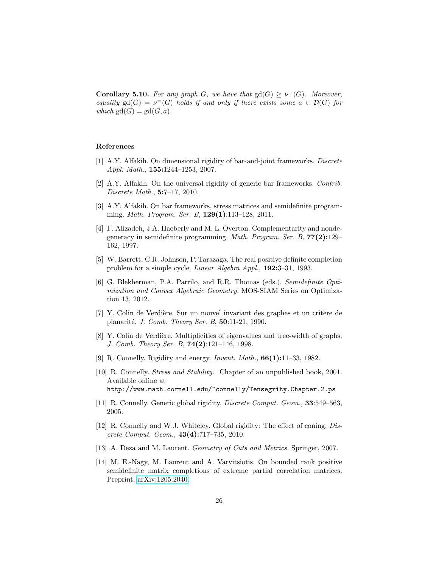**Corollary 5.10.** For any graph G, we have that  $gd(G) \geq \nu^=(G)$ . Moreover, equality gd(G) =  $\nu^=(G)$  holds if and only if there exists some  $a \in \mathcal{D}(G)$  for which  $gd(G) = gd(G, a)$ .

# References

- <span id="page-25-11"></span>[1] A.Y. Alfakih. On dimensional rigidity of bar-and-joint frameworks. Discrete Appl. Math., 155:1244–1253, 2007.
- <span id="page-25-12"></span>[2] A.Y. Alfakih. On the universal rigidity of generic bar frameworks. Contrib. Discrete Math., 5:7–17, 2010.
- <span id="page-25-6"></span>[3] A.Y. Alfakih. On bar frameworks, stress matrices and semidefinite programming. *Math. Program. Ser. B*,  $129(1):113-128$ , 2011.
- <span id="page-25-8"></span>[4] F. Alizadeh, J.A. Haeberly and M. L. Overton. Complementarity and nondegeneracy in semidefinite programming. Math. Program. Ser. B, 77(2):129– 162, 1997.
- <span id="page-25-0"></span>[5] W. Barrett, C.R. Johnson, P. Tarazaga. The real positive definite completion problem for a simple cycle. Linear Algebra Appl., 192:3–31, 1993.
- <span id="page-25-9"></span>[6] G. Blekherman, P.A. Parrilo, and R.R. Thomas (eds.). Semidefinite Optimization and Convex Algebraic Geometry. MOS-SIAM Series on Optimization 13, 2012.
- <span id="page-25-13"></span>[7] Y. Colin de Verdi`ere. Sur un nouvel invariant des graphes et un crit`ere de planarité. J. Comb. Theory Ser. B, 50:11-21, 1990.
- <span id="page-25-7"></span>[8] Y. Colin de Verdière. Multiplicities of eigenvalues and tree-width of graphs. J. Comb. Theory Ser. B, 74(2):121–146, 1998.
- <span id="page-25-2"></span>[9] R. Connelly. Rigidity and energy. *Invent. Math.*, **66(1):**11–33, 1982.
- <span id="page-25-3"></span>[10] R. Connelly. Stress and Stability. Chapter of an unpublished book, 2001. Available online at http://www.math.cornell.edu/~connelly/Tensegrity.Chapter.2.ps
- <span id="page-25-4"></span>[11] R. Connelly. Generic global rigidity. *Discrete Comput. Geom.*, **33**:549–563, 2005.
- <span id="page-25-5"></span>[12] R. Connelly and W.J. Whiteley. Global rigidity: The effect of coning, *Dis*crete Comput. Geom., 43(4):717–735, 2010.
- <span id="page-25-10"></span>[13] A. Deza and M. Laurent. *Geometry of Cuts and Metrics*. Springer, 2007.
- <span id="page-25-1"></span>[14] M. E.-Nagy, M. Laurent and A. Varvitsiotis. On bounded rank positive semidefinite matrix completions of extreme partial correlation matrices. Preprint, [arXiv:1205.2040.](http://arxiv.org/abs/1205.2040)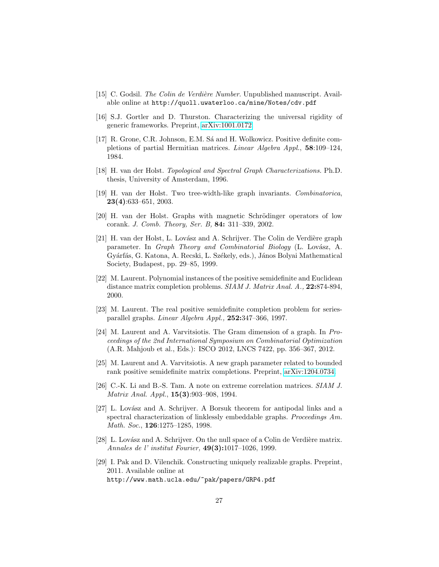- <span id="page-26-14"></span>[15] C. Godsil. The Colin de Verdière Number. Unpublished manuscript. Available online at http://quoll.uwaterloo.ca/mine/Notes/cdv.pdf
- <span id="page-26-4"></span>[16] S.J. Gortler and D. Thurston. Characterizing the universal rigidity of generic frameworks. Preprint, [arXiv:1001.0172.](http://arxiv.org/abs/1001.0172)
- <span id="page-26-0"></span>[17] R. Grone, C.R. Johnson, E.M. S´a and H. Wolkowicz. Positive definite completions of partial Hermitian matrices. Linear Algebra Appl., 58:109–124, 1984.
- <span id="page-26-5"></span>[18] H. van der Holst. Topological and Spectral Graph Characterizations. Ph.D. thesis, University of Amsterdam, 1996.
- <span id="page-26-6"></span>[19] H. van der Holst. Two tree-width-like graph invariants. Combinatorica, 23(4):633–651, 2003.
- <span id="page-26-13"></span>[20] H. van der Holst. Graphs with magnetic Schrödinger operators of low corank. J. Comb. Theory, Ser. B, 84: 311–339, 2002.
- <span id="page-26-11"></span>[21] H. van der Holst, L. Lovász and A. Schrijver. The Colin de Verdière graph parameter. In Graph Theory and Combinatorial Biology (L. Lovász, A. Gyárfás, G. Katona, A. Recski, L. Székely, eds.), János Bolyai Mathematical Society, Budapest, pp. 29–85, 1999.
- <span id="page-26-1"></span>[22] M. Laurent. Polynomial instances of the positive semidefinite and Euclidean distance matrix completion problems. SIAM J. Matrix Anal. A., 22:874-894, 2000.
- <span id="page-26-9"></span>[23] M. Laurent. The real positive semidefinite completion problem for seriesparallel graphs. Linear Algebra Appl., 252:347–366, 1997.
- <span id="page-26-2"></span>[24] M. Laurent and A. Varvitsiotis. The Gram dimension of a graph. In Proceedings of the 2nd International Symposium on Combinatorial Optimization (A.R. Mahjoub et al., Eds.): ISCO 2012, LNCS 7422, pp. 356–367, 2012.
- <span id="page-26-3"></span>[25] M. Laurent and A. Varvitsiotis. A new graph parameter related to bounded rank positive semidefinite matrix completions. Preprint, [arXiv:1204.0734.](http://arxiv.org/abs/1204.0734)
- <span id="page-26-7"></span>[26] C.-K. Li and B.-S. Tam. A note on extreme correlation matrices. SIAM J. Matrix Anal. Appl., 15(3):903–908, 1994.
- <span id="page-26-10"></span>[27] L. Lovász and A. Schrijver. A Borsuk theorem for antipodal links and a spectral characterization of linklessly embeddable graphs. Proceedings Am. Math. Soc., **126**:1275-1285, 1998.
- <span id="page-26-12"></span>[28] L. Lovász and A. Schrijver. On the null space of a Colin de Verdière matrix. Annales de l' institut Fourier, 49(3):1017–1026, 1999.
- <span id="page-26-8"></span>[29] I. Pak and D. Vilenchik. Constructing uniquely realizable graphs. Preprint, 2011. Available online at http://www.math.ucla.edu/~pak/papers/GRP4.pdf